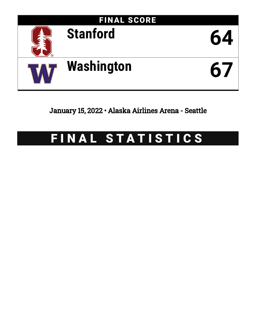

January 15, 2022 • Alaska Airlines Arena - Seattle

# FINAL STATISTICS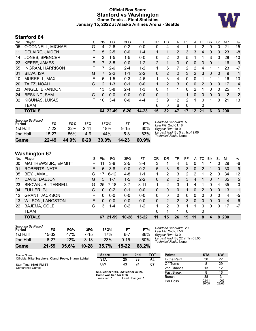### **Official Box Score Stanford vs Washington Game Totals -- Final Statistics January 15, 2022 at Alaska Airlines Arena - Seattle**



## **Stanford 64**

| No. | Plaver                  | S | <b>Pts</b>    | FG      | 3FG      | FT        | 0R       | <b>DR</b>       | TR             | PF       | A               | TO       | <b>B</b> lk | Stl | Min  | $+/-$          |
|-----|-------------------------|---|---------------|---------|----------|-----------|----------|-----------------|----------------|----------|-----------------|----------|-------------|-----|------|----------------|
| 05  | O'CONNELL, MICHAEL      | G | 4             | $2-6$   | $0 - 2$  | $0-0$     | 0        | 4               | 4              |          |                 | 2        | $\Omega$    | 0   | 21   | $-15$          |
| 11  | DELAIRE, JAIDEN         | F | 5             | $2 - 5$ | $0 - 0$  | $1 - 4$   |          | 1               | $\overline{2}$ | 3        | 3               | 4        | $\Omega$    | 0   | 23   | -8             |
| 14  | <b>JONES, SPENCER</b>   | F | 3             | $1 - 5$ | $1 - 5$  | $0 - 0$   | 0        | $\overline{2}$  | $\overline{2}$ | 5        |                 |          | 3           | 0   | 28   | -10            |
| 22  | <b>KEEFE, JAMES</b>     | F | 7             | $3 - 5$ | $0 - 0$  | $1 - 2$   | 2        | 1               | 3              | $\Omega$ | 0               | 3        | $\Omega$    | 1   | 16   | $-9$           |
| 55  | <b>INGRAM, HARRISON</b> | F |               | $2-6$   | $2 - 4$  | $1 - 2$   | 1        | 6               | 7              | 2        | 2               | 4        |             |     | 23   | $-7$           |
| 01  | SILVA, ISA              | G |               | $2 - 2$ | $1 - 1$  | $2 - 2$   | 0        | 2               | $\overline{2}$ | 3        | $\overline{2}$  | 3        | $\Omega$    | 0   | 9    | 1              |
| 10  | MURRELL, MAX            | F | 6             | $1 - 5$ | $0 - 3$  | $4-6$     | 1        | 3               | 4              | 0        | 0               |          |             | 1   | 16   | 13             |
| 20  | TAITZ, NOAH             | G | $\mathcal{P}$ | $1 - 3$ | $0 - 1$  | $0 - 0$   |          | $\overline{2}$  | 3              | $\Omega$ | 0               | 2        | $\Omega$    | 0   | 17   | $\overline{4}$ |
| 23  | ANGEL, BRANDON          | F | 13            | $5-8$   | $2 - 4$  | 1-3       | 0        | 1               | 1              | 0        | 2               | 1        | 0           | 0   | 25   | 1              |
| 24  | <b>BESKIND, SAM</b>     | G | 0             | $0 - 0$ | $0 - 0$  | $0 - 0$   | $\Omega$ | 1               |                | 1        | 0               | $\Omega$ | $\Omega$    | 0   | 2    | 2              |
| 32  | KISUNAS, LUKAS          | F | 10            | $3 - 4$ | $0 - 0$  | $4 - 4$   | 3        | 9               | 12             | 2        |                 | 0        |             | 0   | 21   | 13             |
|     | TEAM                    |   |               |         |          |           | 6        | $\mathbf{0}$    | 6              | $\Omega$ |                 | 0        |             |     |      |                |
|     | <b>TOTALS</b>           |   | 64            | 22-49   | $6 - 20$ | $14 - 23$ | 15       | 32 <sub>2</sub> | 47             | 17       | 12 <sup>2</sup> | 21       | 6           | 3.  | -200 |                |
|     |                         |   |               |         |          |           |          |                 |                |          |                 |          |             |     |      |                |

| Game                                | $22 - 49$ | 44.9% | $6 - 20$ | 30.0% | $14 - 23$ | 60.9% |
|-------------------------------------|-----------|-------|----------|-------|-----------|-------|
| 2nd Half                            | 15-27     | 56%   | 4-9      | 44%   | 5-8       | 63%   |
| 1st Half                            | 7-22      | 32%   | $2 - 11$ | 18%   | $9 - 15$  | 60%   |
| <b>Shooting By Period</b><br>Period | FG        | FG%   | 3FG      | 3FG%  | FT        | FT%   |

*Deadball Rebounds:* 5,0 *Last FG:* 2nd-01:18 *Biggest Run:* 10-0 *Largest lead:* By 5 at 1st-19:06 *Technical Fouls:* None.

# **Washington 67**

| No. | Player                    | S  | Pts | FG       | 3FG       | FT        | 0R       | DR | TR             | PF       | A        | TO             | <b>B</b> lk | Stl      | Min        | $+/-$        |
|-----|---------------------------|----|-----|----------|-----------|-----------|----------|----|----------------|----------|----------|----------------|-------------|----------|------------|--------------|
| 00  | MATTHEWS JR., EMMITT      | F. | 11  | 3-8      | $2 - 5$   | $3 - 4$   | 3        |    | 4              | 5        | 0        |                |             | 0        | 29         | -6           |
| 01  | <b>ROBERTS, NATE</b>      | F. | 6   | $3 - 8$  | $0 - 0$   | $0 - 2$   | 5        | 3  | 8              | 3        | $\Omega$ | 2              | 1           | $\Omega$ | 30         | 9            |
| 05  | BEY, JAMAL                | G  | 17  | $6 - 12$ | $4 - 8$   | $1 - 1$   |          | 2  | 3              | 2        | 2        | 1              | 2           | 3        | 34         | 12           |
| 11  | DAVIS, DAEJON             | G  | 5.  | $1 - 7$  | $1-5$     | $2 - 2$   | 0        | 2  | $\mathcal{P}$  | 3        | 4        | 1              | 0           |          | 35         | 5            |
| 23  | <b>BROWN JR., TERRELL</b> | G  | 25  | $7 - 18$ | $3 - 7$   | $8 - 11$  | 1        | 2  | 3              |          | 4        | 1              | 0           | 4        | 35         | $\mathbf{0}$ |
| 04  | FULLER, PJ                | G  | 0   | $0 - 2$  | $0 - 1$   | $0 - 0$   | 0        | 0  | $\Omega$       |          | 0        | $\overline{2}$ | 0           | 0        | 13         | 1.           |
| 12  | <b>GRANT, JACKSON</b>     | F  | 0   | $0-0$    | $0 - 0$   | $0 - 0$   | 0        | 0  | 0              | 0        | 0        | 0              | 0           | 0        | 4          | -5           |
| 13  | <b>WILSON, LANGSTON</b>   | F. | 0   | $0 - 0$  | $0 - 0$   | $0 - 0$   | $\Omega$ | 2  | $\overline{2}$ | 3        | 0        | $\Omega$       | 0           | 0        | 4          | 6            |
| 22  | BAJEMA, COLE              | G  | 3   | 1-4      | $0 - 2$   | $1 - 2$   |          | 2  | 3              |          |          | 0              | 0           | 0        | 17         | -7           |
|     | <b>TEAM</b>               |    |     |          |           |           | 0        |    |                | $\Omega$ |          | 0              |             |          |            |              |
|     | <b>TOTALS</b>             |    |     | 67 21-59 | $10 - 28$ | $15 - 22$ | 11       | 15 | 26             | 19       | 11       | 8              | 4           | 8        | <b>200</b> |              |
|     |                           |    |     |          |           |           |          |    |                |          |          |                |             |          |            |              |

| Game                                | $21 - 59$ | 35.6% | $10 - 28$ | 35.7%      | $15 - 22$ | 68.2% |
|-------------------------------------|-----------|-------|-----------|------------|-----------|-------|
| 2nd Half                            | հ-27      | 22%   | $3 - 13$  | <b>23%</b> | $9 - 15$  | 60%   |
| 1st Half                            | 15-32     | 47%   | 7-15      | 47%        | հ-7       | 86%   |
| <b>Shooting By Period</b><br>Period | FG        | FG%   | 3FG       | 3FG%       | FТ        | FT%   |

*Deadball Rebounds:* 2,1 *Last FG:* 2nd-07:56 *Biggest Run:* 13-0 *Largest lead:* By 22 at 1st-05:05 *Technical Fouls:* None.

| Game Notes:                                          | <b>Score</b>                             | 1st | 2 <sub>nd</sub> | <b>TOT</b> | <b>Points</b>     | <b>STA</b>     | <b>UW</b>      |
|------------------------------------------------------|------------------------------------------|-----|-----------------|------------|-------------------|----------------|----------------|
| Officials: Mike Scyphers, Olandi Poole, Shawn Lehigh | <b>STA</b>                               | 25  | 39              | 64         | In the Paint      | 30             | 22             |
| Start Time: 06:06 PM ET                              | UW                                       | 43  | 24              | 67         | Off Turns         |                | 29             |
| Conference Game;                                     |                                          |     |                 |            | 2nd Chance        | 13             | 12             |
|                                                      | STA led for 1:40. UW led for 37:24.      |     |                 |            | <b>Fast Break</b> |                | 16             |
|                                                      | Game was tied for 0:56.<br>Times tied: 1 |     | Lead Changes: 1 |            | Bench             | 38             |                |
|                                                      |                                          |     |                 |            | Per Poss          | 0.941<br>30/68 | 1.063<br>29/63 |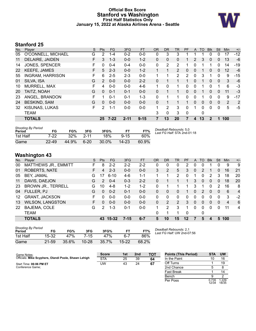#### **Official Box Score Stanford vs Washington First Half Statistics Only January 15, 2022 at Alaska Airlines Arena - Seattle**



# **Stanford 25**

| No. | Player                  | S  | <b>Pts</b> | <b>FG</b> | 3FG      | <b>FT</b> | <b>OR</b> | <b>DR</b> | <b>TR</b>      | PF | A            | TO       | <b>Blk</b>   | Stl          | Min | $+/-$ |
|-----|-------------------------|----|------------|-----------|----------|-----------|-----------|-----------|----------------|----|--------------|----------|--------------|--------------|-----|-------|
| 05  | O'CONNELL, MICHAEL      | G  | 2          | 1-4       | $0 - 2$  | $0-0$     | 0         | 3         | 3              |    |              |          |              | 0            | 17  | $-12$ |
| 11  | DELAIRE, JAIDEN         | F  | 3          | $1 - 3$   | $0 - 0$  | $1 - 2$   | 0         | 0         | 0              |    | 2            | 3        | $\Omega$     | 0            | 13  | -6    |
| 14  | <b>JONES, SPENCER</b>   | F  | 0          | $0 - 4$   | $0 - 4$  | $0 - 0$   | 0         | 2         | 2              |    | 0            |          |              | 0            | 14  | $-19$ |
| 22  | <b>KEEFE, JAMES</b>     | F. | 5          | $2 - 3$   | $0 - 0$  | $1 - 2$   |           | 1         | $\overline{2}$ | 0  | 0            |          | 0            | 0            | 12  | $-6$  |
| 55  | <b>INGRAM, HARRISON</b> | F. | 6          | $2 - 5$   | $2 - 3$  | $0 - 0$   | 1         | 1         | $\overline{2}$ | 2  | $\mathbf{0}$ | 3        |              | 0            | 9   | $-15$ |
| 01  | SILVA, ISA              | G  | 2          | $0 - 0$   | $0 - 0$  | $2 - 2$   | 0         |           |                |    | 0            |          | $\mathbf{0}$ | $\mathbf{0}$ | 3   | -6    |
| 10  | <b>MURRELL, MAX</b>     | F  | 4          | $0 - 0$   | $0 - 0$  | $4-6$     | 1         | 0         |                | 0  | 0            |          | 0            | 1            | 6   | -3    |
| 20  | TAITZ, NOAH             | G  | $\Omega$   | $0 - 1$   | $0 - 1$  | $0 - 0$   | 0         | 1         |                | 0  | 0            | 1        | $\Omega$     | $\Omega$     | 11  | $-3$  |
| 23  | ANGEL, BRANDON          |    |            | $0 - 1$   | $0 - 1$  | $1 - 3$   | 0         |           |                | 0  | 0            |          | 0            | 0            | 9   | -17   |
| 24  | <b>BESKIND, SAM</b>     | G  | $\Omega$   | $0 - 0$   | $0 - 0$  | $0 - 0$   | 0         | 1         |                | 1  | 0            | $\Omega$ | $\Omega$     | $\mathbf{0}$ | 2   | 2     |
| 32  | KISUNAS, LUKAS          | F  | 2          | $1 - 1$   | $0 - 0$  | $0 - 0$   | 1.        | 2         | 3              | 0  |              | 0        | $\Omega$     | $\Omega$     | 5   | $-5$  |
|     | TEAM                    |    |            |           |          |           | 3         | 0         | 3              | 0  |              | 0        |              |              |     |       |
|     | <b>TOTALS</b>           |    | 25         | 7-22      | $2 - 11$ | $9 - 15$  |           | 13        | 20             |    | 4            | 13       | $\mathbf{2}$ | 1            | 100 |       |

| <b>Shooting By Period</b><br>Period | FG        | FG%   | 3FG      | 3FG%     | FT.      | FT%   | Deadball Rebounds: 5,0<br>Last FG Half: STA 2nd-01:18 |
|-------------------------------------|-----------|-------|----------|----------|----------|-------|-------------------------------------------------------|
| 1st Half                            | 7-22      | 32%   | $2 - 11$ | 18%      | $9 - 15$ | 60%   |                                                       |
| Game                                | $22 - 49$ | 44.9% | $6 - 20$ | $30.0\%$ | 14-23    | 60.9% |                                                       |

# **Washington 43**

| No. | <b>Plaver</b>               | S  | <b>Pts</b> | FG       | 3FG      | FT      | <b>OR</b> | <b>DR</b> | TR       | <b>PF</b> | A        | TO. | <b>B</b> lk | Stl      | Min                     | $+/-$          |
|-----|-----------------------------|----|------------|----------|----------|---------|-----------|-----------|----------|-----------|----------|-----|-------------|----------|-------------------------|----------------|
| 00  | <b>MATTHEWS JR., EMMITT</b> | F  | 8          | $2 - 2$  | $2 - 2$  | $2 - 2$ | 0         | 0         | 0        | 2         | 0        | 0   |             | 0        | 9                       | 9              |
| 01  | <b>ROBERTS, NATE</b>        | F. | 4          | $2 - 3$  | $0 - 0$  | $0 - 0$ | 3         | 2         | 5        | 3         | 0        | 2   |             | 0        | 16                      | 21             |
| 05  | BEY, JAMAL                  | G  | 17         | $6 - 10$ | 4-6      | $1 - 1$ |           |           | 2        | 0         |          | 0   | 2           | 3        | 18                      | 20             |
| 11  | DAVIS, DAEJON               | G  | 2          | $0 - 4$  | $0 - 3$  | $2 - 2$ | 0         |           |          |           | 3        | 0   | 0           | 0        | 18                      | 20             |
| 23  | <b>BROWN JR., TERRELL</b>   | G  | 10         | $4-8$    | $1-2$    | $1 - 2$ | 0         |           |          |           | 3        |     | 0           | 2        | 16                      | 8              |
| 04  | FULLER, PJ                  | G  | 0          | $0 - 2$  | $0 - 1$  | $0 - 0$ | 0         | 0         | $\Omega$ |           | 0        | 2   | $\Omega$    | 0        | 6                       | $\overline{4}$ |
| 12  | <b>GRANT, JACKSON</b>       | F. | 0          | $0 - 0$  | $0 - 0$  | $0 - 0$ | $\Omega$  | $\Omega$  | $\Omega$ | $\Omega$  | 0        | 0   | $\Omega$    | 0        | 3                       | $-2$           |
| 13  | <b>WILSON, LANGSTON</b>     | F. | 0          | $0 - 0$  | $0 - 0$  | $0 - 0$ | $\Omega$  | 2         | 2        | 3         | $\Omega$ | 0   | $\Omega$    | $\Omega$ | $\overline{\mathbf{4}}$ | 6              |
| 22  | BAJEMA, COLE                | G  | 2          | $1 - 3$  | $0 - 1$  | $0-0$   | 1         | 2         | 3        |           | 0        | 0   | $\Omega$    | $\Omega$ | 11                      | 4              |
|     | <b>TEAM</b>                 |    |            |          |          |         | 0         |           |          | $\Omega$  |          | 0   |             |          |                         |                |
|     | <b>TOTALS</b>               |    |            | 43 15-32 | $7 - 15$ | $6 - 7$ | 5         | 10        | 15       | $12 \,$   |          | 5   | 4           | 5        | 100                     |                |
|     |                             |    |            |          |          |         |           |           |          |           |          |     |             |          |                         |                |

| <b>Shooting By Period</b> |       |       |           |       |           |       | Deε |
|---------------------------|-------|-------|-----------|-------|-----------|-------|-----|
| Period                    | FG    | FG%   | 3FG       | 3FG%  | FT        | FT%   | Las |
| 1st Half                  | 15-32 | 47%   | $7 - 15$  | 47%   | հ-7       | 86%   |     |
| Game                      | 21-59 | 35.6% | $10 - 28$ | 35.7% | $15 - 22$ | 68.2% |     |

*Deadball Rebounds:* 2,1 *Last FG Half:* UW 2nd-07:56

| Game Notes:                                          | <b>Score</b> | 1st | 2 <sub>nd</sub> | <b>TOT</b> | <b>Points (This Period)</b> | <b>STA</b>     | <b>UW</b>      |
|------------------------------------------------------|--------------|-----|-----------------|------------|-----------------------------|----------------|----------------|
| Officials: Mike Scyphers, Olandi Poole, Shawn Lehigh | <b>STA</b>   | 25  | 39              | 64         | In the Paint                |                | 16             |
| Start Time: 06:06 PM ET                              | UW           | 43  | 24              | 67         | Off Turns                   |                | 19             |
| Conference Game:                                     |              |     |                 |            | 2nd Chance                  |                |                |
|                                                      |              |     |                 |            | <b>Fast Break</b>           |                | 14             |
|                                                      |              |     |                 |            | Bench                       |                | ົ              |
|                                                      |              |     |                 |            | Per Poss                    | 0.735<br>12/34 | 1.229<br>18/35 |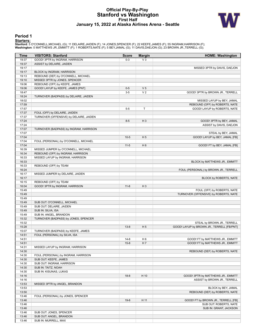#### **Official Play-By-Play Stanford vs Washington First Half January 15, 2022 at Alaska Airlines Arena - Seattle**



#### **Period 1**

<mark>Starters:</mark><br>Stanford: 5 O'CONNELL,MICHAEL (G); 11 DELAIRE,JAIDEN (F); 14 JONES,SPENCER (F); 22 KEEFE,JAMES (F); 55 INGRAM,HARRISON (F);<br>**Washington**: 0 MATTHEWS JR.,EMMITT (F); 1 ROBERTS,NATE (F); 5 BEY,JAMAL (G); 11 DAVIS

| <b>VISITORS: Stanford</b><br>Time<br><b>Score</b><br><b>Margin</b><br>GOOD! 3PTR by INGRAM, HARRISON<br>19:37<br>$0 - 3$<br>$V_3$<br>19:37<br>ASSIST by DELAIRE, JAIDEN<br>19:17<br>19:17<br>BLOCK by INGRAM, HARRISON<br>REBOUND (DEF) by O'CONNELL, MICHAEL<br>19:13<br>19:10<br>MISSED 3PTR by JONES, SPENCER | <b>HOME: Washington</b>                    |
|------------------------------------------------------------------------------------------------------------------------------------------------------------------------------------------------------------------------------------------------------------------------------------------------------------------|--------------------------------------------|
|                                                                                                                                                                                                                                                                                                                  |                                            |
|                                                                                                                                                                                                                                                                                                                  |                                            |
|                                                                                                                                                                                                                                                                                                                  |                                            |
|                                                                                                                                                                                                                                                                                                                  | MISSED 3PTR by DAVIS, DAEJON               |
|                                                                                                                                                                                                                                                                                                                  |                                            |
|                                                                                                                                                                                                                                                                                                                  |                                            |
|                                                                                                                                                                                                                                                                                                                  |                                            |
| 19:06<br>REBOUND (OFF) by KEEFE, JAMES                                                                                                                                                                                                                                                                           |                                            |
| 19:06<br>GOOD! LAYUP by KEEFE, JAMES [PNT]<br>V <sub>5</sub><br>$0 - 5$                                                                                                                                                                                                                                          |                                            |
| $3 - 5$<br>V <sub>2</sub><br>18:47                                                                                                                                                                                                                                                                               | GOOD! 3PTR by BROWN JR., TERRELL           |
| 18:24<br>TURNOVER (BADPASS) by DELAIRE, JAIDEN                                                                                                                                                                                                                                                                   |                                            |
| 18:02                                                                                                                                                                                                                                                                                                            | MISSED LAYUP by BEY, JAMAL                 |
| 17:59                                                                                                                                                                                                                                                                                                            | REBOUND (OFF) by ROBERTS, NATE             |
| T<br>17:57<br>$5-5$                                                                                                                                                                                                                                                                                              | GOOD! LAYUP by ROBERTS, NATE               |
| 17:37<br>FOUL (OFF) by DELAIRE, JAIDEN                                                                                                                                                                                                                                                                           |                                            |
| 17:37<br>TURNOVER (OFFENSIVE) by DELAIRE, JAIDEN                                                                                                                                                                                                                                                                 |                                            |
| 17:24<br>$8 - 5$<br>$H_3$                                                                                                                                                                                                                                                                                        | GOOD! 3PTR by BEY, JAMAL                   |
| 17:24                                                                                                                                                                                                                                                                                                            | ASSIST by DAVIS, DAEJON                    |
| 17:07<br>TURNOVER (BADPASS) by INGRAM, HARRISON                                                                                                                                                                                                                                                                  |                                            |
| 17:07                                                                                                                                                                                                                                                                                                            | STEAL by BEY, JAMAL                        |
| 17:04<br>$10-5$<br>H <sub>5</sub>                                                                                                                                                                                                                                                                                | GOOD! LAYUP by BEY, JAMAL [FB]             |
| 17:04<br>FOUL (PERSONAL) by O'CONNELL, MICHAEL                                                                                                                                                                                                                                                                   |                                            |
| 17:04<br>$11 - 5$<br>H <sub>6</sub>                                                                                                                                                                                                                                                                              | GOOD! FT by BEY, JAMAL [FB]                |
| 16:39<br>MISSED JUMPER by O'CONNELL, MICHAEL                                                                                                                                                                                                                                                                     |                                            |
| 16:34<br>REBOUND (OFF) by INGRAM, HARRISON                                                                                                                                                                                                                                                                       |                                            |
| 16:33<br>MISSED LAYUP by INGRAM, HARRISON                                                                                                                                                                                                                                                                        |                                            |
| 16:33                                                                                                                                                                                                                                                                                                            | BLOCK by MATTHEWS JR., EMMITT              |
| 16:33<br>REBOUND (OFF) by TEAM                                                                                                                                                                                                                                                                                   |                                            |
| 16:24                                                                                                                                                                                                                                                                                                            | FOUL (PERSONAL) by BROWN JR., TERRELL      |
| 16:17<br>MISSED JUMPER by DELAIRE, JAIDEN                                                                                                                                                                                                                                                                        |                                            |
| 16:17                                                                                                                                                                                                                                                                                                            | BLOCK by ROBERTS, NATE                     |
| 16:15<br>REBOUND (OFF) by TEAM                                                                                                                                                                                                                                                                                   |                                            |
| 16:04<br>GOOD! 3PTR by INGRAM, HARRISON<br>$11 - 8$<br>$H_3$                                                                                                                                                                                                                                                     |                                            |
| 15:49                                                                                                                                                                                                                                                                                                            | FOUL (OFF) by ROBERTS, NATE                |
| 15:49                                                                                                                                                                                                                                                                                                            | TURNOVER (OFFENSIVE) by ROBERTS, NATE      |
| 15:49                                                                                                                                                                                                                                                                                                            |                                            |
| 15:49<br>SUB OUT: O'CONNELL, MICHAEL                                                                                                                                                                                                                                                                             |                                            |
| 15:49<br>SUB OUT: DELAIRE, JAIDEN                                                                                                                                                                                                                                                                                |                                            |
| 15:49<br>SUB IN: SILVA, ISA                                                                                                                                                                                                                                                                                      |                                            |
|                                                                                                                                                                                                                                                                                                                  |                                            |
| 15:49<br>SUB IN: ANGEL, BRANDON<br>15:32                                                                                                                                                                                                                                                                         |                                            |
| TURNOVER (BADPASS) by JONES, SPENCER                                                                                                                                                                                                                                                                             |                                            |
| 15:32                                                                                                                                                                                                                                                                                                            | STEAL by BROWN JR., TERRELL                |
| 15:28<br>$13 - 8$<br>H <sub>5</sub>                                                                                                                                                                                                                                                                              | GOOD! LAYUP by BROWN JR., TERRELL [FB/PNT] |
| 15:07<br>TURNOVER (BADPASS) by KEEFE, JAMES                                                                                                                                                                                                                                                                      |                                            |
| 14:51<br>FOUL (PERSONAL) by SILVA, ISA                                                                                                                                                                                                                                                                           |                                            |
| 14:51<br>$14 - 8$<br>H <sub>6</sub>                                                                                                                                                                                                                                                                              | GOOD! FT by MATTHEWS JR., EMMITT           |
| 14:51<br>$15 - 8$<br>H 7                                                                                                                                                                                                                                                                                         | GOOD! FT by MATTHEWS JR., EMMITT           |
| 14:31<br>MISSED LAYUP by INGRAM, HARRISON                                                                                                                                                                                                                                                                        |                                            |
| 14:30                                                                                                                                                                                                                                                                                                            | REBOUND (DEF) by ROBERTS, NATE             |
| 14:30<br>FOUL (PERSONAL) by INGRAM, HARRISON                                                                                                                                                                                                                                                                     |                                            |
| 14:30<br>SUB OUT: KEEFE, JAMES                                                                                                                                                                                                                                                                                   |                                            |
| 14:30<br>SUB OUT: INGRAM, HARRISON                                                                                                                                                                                                                                                                               |                                            |
| 14:30<br>SUB IN: TAITZ, NOAH                                                                                                                                                                                                                                                                                     |                                            |
| 14:30<br>SUB IN: KISUNAS, LUKAS                                                                                                                                                                                                                                                                                  |                                            |
| 14:16<br>H 10<br>$18 - 8$                                                                                                                                                                                                                                                                                        | GOOD! 3PTR by MATTHEWS JR., EMMITT         |
| 14:16                                                                                                                                                                                                                                                                                                            | ASSIST by BROWN JR., TERRELL               |
| 13:53<br>MISSED 3PTR by ANGEL, BRANDON                                                                                                                                                                                                                                                                           |                                            |
| 13:53                                                                                                                                                                                                                                                                                                            | BLOCK by BEY, JAMAL                        |
| 13:50                                                                                                                                                                                                                                                                                                            | REBOUND (DEF) by ROBERTS, NATE             |
| 13:46<br>FOUL (PERSONAL) by JONES, SPENCER                                                                                                                                                                                                                                                                       |                                            |
| 13:46<br>$19-8$<br>H 11                                                                                                                                                                                                                                                                                          | GOOD! FT by BROWN JR., TERRELL [FB]        |
| 13:46                                                                                                                                                                                                                                                                                                            | SUB OUT: ROBERTS, NATE                     |
| 13:46                                                                                                                                                                                                                                                                                                            | SUB IN: GRANT, JACKSON                     |
| 13:46<br>SUB OUT: JONES, SPENCER                                                                                                                                                                                                                                                                                 |                                            |
| 13:46<br>SUB OUT: ANGEL, BRANDON                                                                                                                                                                                                                                                                                 |                                            |
|                                                                                                                                                                                                                                                                                                                  |                                            |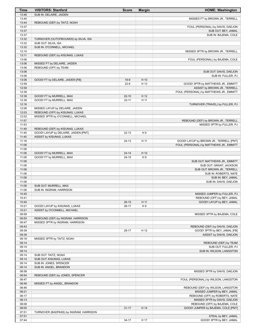| Time           | <b>VISITORS: Stanford</b>              | <b>Score</b>       | <b>Margin</b>  | <b>HOME: Washington</b>                                          |
|----------------|----------------------------------------|--------------------|----------------|------------------------------------------------------------------|
| 13:46          | SUB IN: DELAIRE, JAIDEN                |                    |                |                                                                  |
| 13:45          |                                        |                    |                | MISSED FT by BROWN JR., TERRELL                                  |
| 13:44          | REBOUND (DEF) by TAITZ, NOAH           |                    |                |                                                                  |
| 13:37          |                                        |                    |                | FOUL (PERSONAL) by DAVIS, DAEJON                                 |
| 13:37<br>13:37 |                                        |                    |                | SUB OUT: BEY, JAMAL                                              |
| 13:32          | TURNOVER (OUTOFBOUNDS) by SILVA, ISA   |                    |                | SUB IN: BAJEMA, COLE                                             |
| 13:32          | SUB OUT: SILVA, ISA                    |                    |                |                                                                  |
| 13:32          | SUB IN: O'CONNELL, MICHAEL             |                    |                |                                                                  |
| 13:15          |                                        |                    |                | MISSED 3PTR by BROWN JR., TERRELL                                |
| 13:11          | REBOUND (DEF) by KISUNAS, LUKAS        |                    |                |                                                                  |
| 13:06          |                                        |                    |                | FOUL (PERSONAL) by BAJEMA, COLE                                  |
| 13:06          | MISSED FT by DELAIRE, JAIDEN           |                    |                |                                                                  |
| 13:06          | REBOUND (OFF) by TEAM                  |                    |                |                                                                  |
| 13:06<br>13:06 |                                        |                    |                | SUB OUT: DAVIS, DAEJON<br>SUB IN: FULLER, PJ                     |
| 13:06          | GOOD! FT by DELAIRE, JAIDEN [FB]       | $19-9$             | H 10           |                                                                  |
| 12:59          |                                        | $22-9$             | H 13           | GOOD! 3PTR by MATTHEWS JR., EMMITT                               |
| 12:59          |                                        |                    |                | ASSIST by BROWN JR., TERRELL                                     |
| 12:39          |                                        |                    |                | FOUL (PERSONAL) by MATTHEWS JR., EMMITT                          |
| 12:39          | GOOD! FT by MURRELL, MAX               | $22 - 10$          | H 12           |                                                                  |
| 12:39          | GOOD! FT by MURRELL, MAX               | $22 - 11$          | H 11           |                                                                  |
| 12:16          |                                        |                    |                | TURNOVER (TRAVEL) by FULLER, PJ                                  |
| 12:06          | MISSED LAYUP by DELAIRE, JAIDEN        |                    |                |                                                                  |
| 12:03          | REBOUND (OFF) by KISUNAS, LUKAS        |                    |                |                                                                  |
| 12:02          | MISSED 3PTR by O'CONNELL, MICHAEL      |                    |                |                                                                  |
| 11:57<br>11:53 |                                        |                    |                | REBOUND (DEF) by BROWN JR., TERRELL<br>MISSED 3PTR by FULLER, PJ |
| 11:49          | REBOUND (DEF) by KISUNAS, LUKAS        |                    |                |                                                                  |
| 11:40          | GOOD! LAYUP by DELAIRE, JAIDEN [PNT]   | $22 - 13$          | H <sub>9</sub> |                                                                  |
| 11:40          | ASSIST by KISUNAS, LUKAS               |                    |                |                                                                  |
| 11:18          |                                        | $24-13$            | H 11           | GOOD! LAYUP by BROWN JR., TERRELL [PNT]                          |
| 11:08          |                                        |                    |                | FOUL (PERSONAL) by MATTHEWS JR., EMMITT                          |
| 11:08          |                                        |                    |                |                                                                  |
| 11:08          | GOOD! FT by MURRELL, MAX               | $24 - 14$          | H 10           |                                                                  |
| 11:08          | GOOD! FT by MURRELL, MAX               | $24 - 15$          | H <sub>9</sub> |                                                                  |
| 11:08<br>11:08 |                                        |                    |                | SUB OUT: MATTHEWS JR., EMMITT<br>SUB OUT: GRANT, JACKSON         |
| 11:08          |                                        |                    |                | SUB OUT: BROWN JR., TERRELL                                      |
| 11:08          |                                        |                    |                | SUB IN: ROBERTS, NATE                                            |
| 11:08          |                                        |                    |                | SUB IN: BEY, JAMAL                                               |
| 11:08          |                                        |                    |                | SUB IN: DAVIS, DAEJON                                            |
| 11:08          | SUB OUT: MURRELL, MAX                  |                    |                |                                                                  |
| 11:08          | SUB IN: INGRAM, HARRISON               |                    |                |                                                                  |
| 10:45          |                                        |                    |                | MISSED JUMPER by FULLER, PJ                                      |
| 10:41          |                                        |                    | H 11           | REBOUND (OFF) by BEY, JAMAL<br>GOOD! LAYUP by BEY, JAMAL         |
| 10:40<br>10:21 | GOOD! LAYUP by KISUNAS, LUKAS          | $26-15$<br>$26-17$ | H9             |                                                                  |
| 10:21          | ASSIST by O'CONNELL, MICHAEL           |                    |                |                                                                  |
| 09:59          |                                        |                    |                | MISSED 3PTR by BAJEMA, COLE                                      |
| 09:55          | REBOUND (DEF) by INGRAM, HARRISON      |                    |                |                                                                  |
| 09:47          | MISSED 3PTR by INGRAM, HARRISON        |                    |                |                                                                  |
| 09:43          |                                        |                    |                | REBOUND (DEF) by DAVIS, DAEJON                                   |
| 09:39          |                                        | 29-17              | H 12           | GOOD! 3PTR by BEY, JAMAL [FB]                                    |
| 09:39          |                                        |                    |                | ASSIST by DAVIS, DAEJON                                          |
| 09:18          | MISSED 3PTR by TAITZ, NOAH             |                    |                |                                                                  |
| 09:14<br>09:14 |                                        |                    |                | REBOUND (DEF) by TEAM<br>SUB OUT: FULLER, PJ                     |
| 09:14          |                                        |                    |                | SUB IN: WILSON, LANGSTON                                         |
| 09:14          | SUB OUT: TAITZ, NOAH                   |                    |                |                                                                  |
| 09:14          | SUB OUT: KISUNAS, LUKAS                |                    |                |                                                                  |
| 09:14          | SUB IN: JONES, SPENCER                 |                    |                |                                                                  |
| 09:14          | SUB IN: ANGEL, BRANDON                 |                    |                |                                                                  |
| 08:58          |                                        |                    |                | MISSED 3PTR by DAVIS, DAEJON                                     |
| 08:54          | REBOUND (DEF) by JONES, SPENCER        |                    |                |                                                                  |
| 08:47          |                                        |                    |                | FOUL (PERSONAL) by WILSON, LANGSTON                              |
| 08:46<br>08:46 | MISSED FT by ANGEL, BRANDON            |                    |                |                                                                  |
| 08:21          |                                        |                    |                | REBOUND (DEF) by WILSON, LANGSTON<br>MISSED JUMPER by BEY, JAMAL |
| 08:17          |                                        |                    |                | REBOUND (OFF) by ROBERTS, NATE                                   |
| 08:13          |                                        |                    |                | MISSED 3PTR by DAVIS, DAEJON                                     |
| 08:08          |                                        |                    |                | REBOUND (OFF) by BAJEMA, COLE                                    |
| 08:05          |                                        | $31 - 17$          | H 14           | GOOD! JUMPER by BAJEMA, COLE [PNT]                               |
| 07:51          | TURNOVER (BADPASS) by INGRAM, HARRISON |                    |                |                                                                  |
| 07:51          |                                        |                    |                | STEAL by BEY, JAMAL                                              |
| 07:44          |                                        | $34-17$            | H 17           | GOOD! 3PTR by BEY, JAMAL                                         |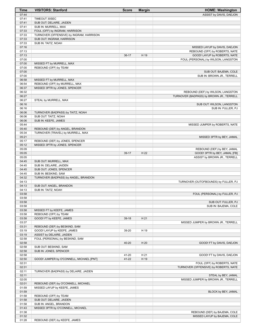| Time           | <b>VISITORS: Stanford</b>                | <b>Score</b> | <b>Margin</b> | <b>HOME: Washington</b>                                                       |
|----------------|------------------------------------------|--------------|---------------|-------------------------------------------------------------------------------|
| 07:44          |                                          |              |               | ASSIST by DAVIS, DAEJON                                                       |
| 07:41          | TIMEOUT 30SEC                            |              |               |                                                                               |
| 07:41          | SUB OUT: DELAIRE, JAIDEN                 |              |               |                                                                               |
| 07:41          | SUB IN: MURRELL, MAX                     |              |               |                                                                               |
| 07:33          | FOUL (OFF) by INGRAM, HARRISON           |              |               |                                                                               |
| 07:33          | TURNOVER (OFFENSIVE) by INGRAM, HARRISON |              |               |                                                                               |
| 07:33          | SUB OUT: INGRAM, HARRISON                |              |               |                                                                               |
| 07:33          | SUB IN: TAITZ, NOAH                      |              |               |                                                                               |
| 07:16          |                                          |              |               | MISSED LAYUP by DAVIS, DAEJON                                                 |
| 07:13          |                                          |              |               | REBOUND (OFF) by ROBERTS, NATE                                                |
| 07:13          |                                          | $36-17$      | H 19          | GOOD! LAYUP by ROBERTS, NATE                                                  |
| 07:00          |                                          |              |               | FOUL (PERSONAL) by WILSON, LANGSTON                                           |
| 07:00          | MISSED FT by MURRELL, MAX                |              |               |                                                                               |
| 07:00          | REBOUND (OFF) by TEAM                    |              |               |                                                                               |
| 07:00          |                                          |              |               | SUB OUT: BAJEMA, COLE                                                         |
| 07:00          |                                          |              |               | SUB IN: BROWN JR., TERRELL                                                    |
| 06:58          | MISSED FT by MURRELL, MAX                |              |               |                                                                               |
| 06:54          | REBOUND (OFF) by MURRELL, MAX            |              |               |                                                                               |
| 06:37<br>06:32 | MISSED 3PTR by JONES, SPENCER            |              |               |                                                                               |
| 06:27          |                                          |              |               | REBOUND (DEF) by WILSON, LANGSTON<br>TURNOVER (BADPASS) by BROWN JR., TERRELL |
| 06:27          | STEAL by MURRELL, MAX                    |              |               |                                                                               |
| 06:16          |                                          |              |               |                                                                               |
| 06:16          |                                          |              |               | SUB OUT: WILSON, LANGSTON<br>SUB IN: FULLER, PJ                               |
| 06:06          | TURNOVER (BADPASS) by TAITZ, NOAH        |              |               |                                                                               |
| 06:06          | SUB OUT: TAITZ, NOAH                     |              |               |                                                                               |
| 06:06          | SUB IN: KEEFE, JAMES                     |              |               |                                                                               |
| 05:44          |                                          |              |               | MISSED JUMPER by ROBERTS, NATE                                                |
| 05:40          | REBOUND (DEF) by ANGEL, BRANDON          |              |               |                                                                               |
| 05:34          | TURNOVER (TRAVEL) by MURRELL, MAX        |              |               |                                                                               |
| 05:21          |                                          |              |               | MISSED 3PTR by BEY, JAMAL                                                     |
| 05:17          | REBOUND (DEF) by JONES, SPENCER          |              |               |                                                                               |
| 05:12          | MISSED 3PTR by JONES, SPENCER            |              |               |                                                                               |
| 05:09          |                                          |              |               | REBOUND (DEF) by BEY, JAMAL                                                   |
| 05:05          |                                          | 39-17        | H 22          | GOOD! 3PTR by BEY, JAMAL [FB]                                                 |
| 05:05          |                                          |              |               | ASSIST by BROWN JR., TERRELL                                                  |
| 04:45          | SUB OUT: MURRELL, MAX                    |              |               |                                                                               |
| 04:45          | SUB IN: DELAIRE, JAIDEN                  |              |               |                                                                               |
| 04:45          | SUB OUT: JONES, SPENCER                  |              |               |                                                                               |
| 04:45          | SUB IN: BESKIND, SAM                     |              |               |                                                                               |
| 04:32          | TURNOVER (BADPASS) by ANGEL, BRANDON     |              |               |                                                                               |
| 04:13          |                                          |              |               | TURNOVER (OUTOFBOUNDS) by FULLER, PJ                                          |
| 04:13          | SUB OUT: ANGEL, BRANDON                  |              |               |                                                                               |
| 04:13          | SUB IN: TAITZ, NOAH                      |              |               |                                                                               |
| 03:58          |                                          |              |               | FOUL (PERSONAL) by FULLER, PJ                                                 |
| 03:58          |                                          |              |               |                                                                               |
| 03:58          |                                          |              |               | SUB OUT: FULLER, PJ                                                           |
| 03:58          |                                          |              |               | SUB IN: BAJEMA, COLE                                                          |
| 03:58          | MISSED FT by KEEFE, JAMES                |              |               |                                                                               |
| 03:58          | REBOUND (OFF) by TEAM                    |              |               |                                                                               |
| 03:58          | GOOD! FT by KEEFE, JAMES                 | $39-18$      | H 21          |                                                                               |
| 03:37          |                                          |              |               | MISSED JUMPER by BROWN JR., TERRELL                                           |
| 03:31          | REBOUND (DEF) by BESKIND, SAM            |              |               |                                                                               |
| 03:19          | GOOD! LAYUP by KEEFE, JAMES              | 39-20        | H 19          |                                                                               |
| 03:19          | ASSIST by DELAIRE, JAIDEN                |              |               |                                                                               |
| 02:58          | FOUL (PERSONAL) by BESKIND, SAM          |              |               |                                                                               |
| 02:58          |                                          | 40-20        | H 20          | GOOD! FT by DAVIS, DAEJON                                                     |
| 02:58          | SUB OUT: BESKIND, SAM                    |              |               |                                                                               |
| 02:58          | SUB IN: JONES, SPENCER                   |              |               |                                                                               |
| 02:58          |                                          | 41-20        | H 21          | GOOD! FT by DAVIS, DAEJON                                                     |
| 02:50          | GOOD! JUMPER by O'CONNELL, MICHAEL [PNT] | 41-22        | H 19          |                                                                               |
| 02:31          |                                          |              |               | FOUL (OFF) by ROBERTS, NATE                                                   |
| 02:31          |                                          |              |               | TURNOVER (OFFENSIVE) by ROBERTS, NATE                                         |
| 02:11          | TURNOVER (BADPASS) by DELAIRE, JAIDEN    |              |               |                                                                               |
| 02:11          |                                          |              |               | STEAL by BEY, JAMAL                                                           |
| 02:05          |                                          |              |               | MISSED JUMPER by BROWN JR., TERRELL                                           |
| 02:01          | REBOUND (DEF) by O'CONNELL, MICHAEL      |              |               |                                                                               |
| 01:59          | MISSED LAYUP by KEEFE, JAMES             |              |               |                                                                               |
| 01:59<br>01:58 | REBOUND (OFF) by TEAM                    |              |               | BLOCK by BEY, JAMAL                                                           |
| 01:58          | SUB OUT: DELAIRE, JAIDEN                 |              |               |                                                                               |
| 01:58          | SUB IN: ANGEL, BRANDON                   |              |               |                                                                               |
| 01:43          | MISSED 3PTR by O'CONNELL, MICHAEL        |              |               |                                                                               |
| 01:38          |                                          |              |               | REBOUND (DEF) by BAJEMA, COLE                                                 |
| 01:32          |                                          |              |               | MISSED LAYUP by BAJEMA, COLE                                                  |
| 01:28          | REBOUND (DEF) by KEEFE, JAMES            |              |               |                                                                               |
|                |                                          |              |               |                                                                               |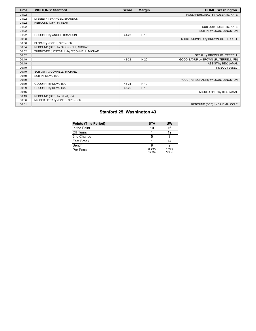| <b>Time</b> | <b>VISITORS: Stanford</b>                 | <b>Score</b> | <b>Margin</b> | <b>HOME: Washington</b>                |
|-------------|-------------------------------------------|--------------|---------------|----------------------------------------|
| 01:22       |                                           |              |               | FOUL (PERSONAL) by ROBERTS, NATE       |
| 01:22       | MISSED FT by ANGEL, BRANDON               |              |               |                                        |
| 01:22       | REBOUND (OFF) by TEAM                     |              |               |                                        |
| 01:22       |                                           |              |               | SUB OUT: ROBERTS, NATE                 |
| 01:22       |                                           |              |               | SUB IN: WILSON, LANGSTON               |
| 01:22       | GOOD! FT by ANGEL, BRANDON                | 41-23        | H 18          |                                        |
| 00:58       |                                           |              |               | MISSED JUMPER by BROWN JR., TERRELL    |
| 00:58       | BLOCK by JONES, SPENCER                   |              |               |                                        |
| 00:54       | REBOUND (DEF) by O'CONNELL, MICHAEL       |              |               |                                        |
| 00:52       | TURNOVER (LOSTBALL) by O'CONNELL, MICHAEL |              |               |                                        |
| 00:52       |                                           |              |               | STEAL by BROWN JR., TERRELL            |
| 00:49       |                                           | 43-23        | H 20          | GOOD! LAYUP by BROWN JR., TERRELL [FB] |
| 00:49       |                                           |              |               | ASSIST by BEY, JAMAL                   |
| 00:49       |                                           |              |               | TIMEOUT 30SEC                          |
| 00:49       | SUB OUT: O'CONNELL, MICHAEL               |              |               |                                        |
| 00:49       | SUB IN: SILVA, ISA                        |              |               |                                        |
| 00:39       |                                           |              |               | FOUL (PERSONAL) by WILSON, LANGSTON    |
| 00:39       | GOOD! FT by SILVA, ISA                    | 43-24        | H 19          |                                        |
| 00:39       | GOOD! FT by SILVA, ISA                    | 43-25        | H 18          |                                        |
| 00:16       |                                           |              |               | MISSED 3PTR by BEY, JAMAL              |
| 00:13       | REBOUND (DEF) by SILVA, ISA               |              |               |                                        |
| 00:06       | MISSED 3PTR by JONES, SPENCER             |              |               |                                        |
| 00:01       |                                           |              |               | REBOUND (DEF) by BAJEMA, COLE          |

# **Stanford 25, Washington 43**

| <b>Points (This Period)</b> | <b>STA</b>     | UW             |
|-----------------------------|----------------|----------------|
| In the Paint                | 10             | 16             |
| Off Turns                   |                | 19             |
| 2nd Chance                  | 5              |                |
| Fast Break                  |                | 14             |
| Bench                       |                |                |
| Per Poss                    | 0.735<br>12/34 | 1.229<br>18/35 |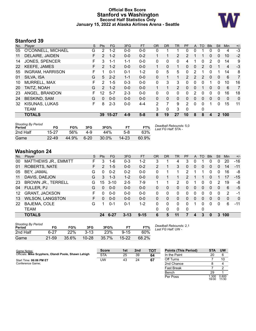#### **Official Box Score Stanford vs Washington Second Half Statistics Only January 15, 2022 at Alaska Airlines Arena - Seattle**



# **Stanford 39**

| No. | Plaver                  | S  | <b>Pts</b>    | <b>FG</b> | 3FG     | <b>FT</b> | <b>OR</b> | <b>DR</b> | TR             | <b>PF</b>      | A        | TO            | <b>BIK</b>   | Stl          | Min            | $+/-$ |
|-----|-------------------------|----|---------------|-----------|---------|-----------|-----------|-----------|----------------|----------------|----------|---------------|--------------|--------------|----------------|-------|
| 05  | O'CONNELL, MICHAEL      | G  | 2             | $1 - 2$   | $0 - 0$ | $0 - 0$   | 0         | 1         |                | 0              | 0        |               | 0            | 0            | 4              | $-3$  |
| 11  | DELAIRE, JAIDEN         | F. | $\mathcal{P}$ | $1 - 2$   | $0 - 0$ | $0 - 2$   |           | 1         | $\overline{2}$ | $\overline{2}$ |          | 1             | $\Omega$     | $\mathbf{0}$ | 10             | $-2$  |
| 14  | <b>JONES, SPENCER</b>   | F. | 3             | 1-1       | $1 - 1$ | $0 - 0$   | 0         | 0         | 0              | 4              |          | 0             | 2            | 0            | 14             | 9     |
| 22  | <b>KEEFE, JAMES</b>     | F. | $\mathcal{P}$ | $1 - 2$   | $0 - 0$ | $0 - 0$   | 1         | $\Omega$  | 1              | 0              | 0        | $\mathcal{P}$ | $\Omega$     | 1            | $\overline{4}$ | $-3$  |
| 55  | <b>INGRAM, HARRISON</b> | F. |               | $0 - 1$   | $0 - 1$ | $1 - 2$   | 0         | 5         | 5              | 0              | 2        |               | 0            | 1            | 14             | 8     |
| 01  | SILVA, ISA              | G  | 5             | $2 - 2$   | $1 - 1$ | $0-0$     | 0         | 1         | 1              | $\overline{2}$ | 2        | 2             | $\mathbf{0}$ | 0            | 6              | 7     |
| 10  | MURRELL, MAX            | F  | 2             | $1 - 5$   | $0 - 3$ | $0 - 0$   | 0         | 3         | 3              | 0              | 0        | 0             |              | 0            | 10             | 16    |
| 20  | TAITZ, NOAH             | G  | $\mathcal{P}$ | $1 - 2$   | $0 - 0$ | $0 - 0$   |           | 1         | $\overline{2}$ | 0              | 0        |               | $\Omega$     | $\mathbf{0}$ | 6              | 7     |
| 23  | ANGEL, BRANDON          | F. | 12            | $5 - 7$   | $2 - 3$ | $0 - 0$   | 0         | 0         | $\Omega$       | 0              | 2        | 0             | $\Omega$     | $\Omega$     | 16             | 18    |
| 24  | <b>BESKIND, SAM</b>     | G  | $\Omega$      | $0 - 0$   | $0 - 0$ | $0 - 0$   | 0         | $\Omega$  | $\mathbf{0}$   | 0              | 0        | $\Omega$      | $\Omega$     | $\mathbf{0}$ | $\Omega$       | 0     |
| 32  | KISUNAS, LUKAS          | F  | 8             | $2 - 3$   | $0 - 0$ | $4 - 4$   | 2         | 7         | 9              | $\overline{2}$ | $\Omega$ | 0             |              | 0            | 15             | 11    |
|     | <b>TEAM</b>             |    |               |           |         |           | 3         | 0         | 3              | 0              |          | 0             |              |              |                |       |
|     | <b>TOTALS</b>           |    | 39            | 15-27     | $4 - 9$ | $5 - 8$   | 8         | 19        | 27             | 10             | 8        | 8             | 4            |              | 2 100          |       |

| <b>Shooting By Period</b><br>Period | FG        | FG%   | 3FG      | 3FG%     | FT.       | FT%   | Deadball Rebounds: 5,0<br>Last FG Half: STA - |
|-------------------------------------|-----------|-------|----------|----------|-----------|-------|-----------------------------------------------|
| 2nd Half                            | $15-27$   | 56%   | 4-9      | 44%      | $5-8$     | 63%   |                                               |
| Game                                | $22 - 49$ | 44.9% | $6 - 20$ | $30.0\%$ | $14 - 23$ | 60.9% |                                               |

# **Washington 24**

| No. | Player                      | S  | <b>Pts</b>      | FG       | 3FG      | <b>FT</b> | <b>OR</b> | <b>DR</b> | TR           | PF            | A            | TO | <b>B</b> lk  | Stl      | Min          | $+/-$          |
|-----|-----------------------------|----|-----------------|----------|----------|-----------|-----------|-----------|--------------|---------------|--------------|----|--------------|----------|--------------|----------------|
| 00  | <b>MATTHEWS JR., EMMITT</b> | F. | 3               | 1-6      | $0 - 3$  | $1 - 2$   | 3         |           | 4            | 3             | 0            |    | 0            | 0        | 20           | $-16$          |
| 01  | <b>ROBERTS, NATE</b>        | F  | 2               | $1 - 5$  | $0 - 0$  | $0 - 2$   | 2         |           | 3            | 0             | 0            | 0  | $\mathbf{0}$ | $\Omega$ | 14           | $-11$          |
| 05  | BEY, JAMAL                  | G  | 0               | $0 - 2$  | $0 - 2$  | $0 - 0$   | $\Omega$  |           | 1            | $\mathcal{P}$ | 1            | 1  | 0            | $\Omega$ | 16           | -8             |
| 11  | DAVIS, DAEJON               | G  | 3               | $1 - 3$  | $1 - 2$  | $0 - 0$   | 0         |           |              | 2             | 1            |    | $\Omega$     |          | 17           | $-15$          |
| 23  | <b>BROWN JR., TERRELL</b>   | G  | 15 <sub>1</sub> | $3 - 10$ | $2 - 5$  | $7-9$     | 1.        |           | 2            | 0             | 1            | 0  | 0            | 2        | 19           | -8             |
| 04  | FULLER, PJ                  | G  | 0               | $0 - 0$  | $0 - 0$  | $0 - 0$   | 0         | 0         | 0            | 0             | 0            | 0  | 0            | 0        | 6            | -5             |
| 12  | <b>GRANT, JACKSON</b>       | F  | 0               | $0 - 0$  | $0 - 0$  | $0 - 0$   | 0         | 0         | $\Omega$     | 0             | 0            | 0  | 0            | 0        | 2            | -1             |
| 13  | <b>WILSON, LANGSTON</b>     | F. | 0               | $0 - 0$  | $0 - 0$  | $0 - 0$   | 0         | 0         | $\mathbf{0}$ | 0             | $\mathbf{0}$ | 0  | 0            | $\Omega$ | $\mathbf{0}$ | $\overline{0}$ |
| 22  | BAJEMA, COLE                | G  |                 | $0 - 1$  | $0 - 1$  | $1 - 2$   | 0         | 0         | $\Omega$     | $\Omega$      | 1            | 0  | 0            | $\Omega$ | 6            | $-11$          |
|     | <b>TEAM</b>                 |    |                 |          |          |           | $\Omega$  | $\Omega$  | $\Omega$     | $\Omega$      |              | 0  |              |          |              |                |
|     | <b>TOTALS</b>               |    | 24              | $6 - 27$ | $3 - 13$ | $9 - 15$  | 6         | 5         | 11           | 7             | 4            | 3  | $\bf{0}$     | 3        | 100          |                |

| <b>Shooting By Period</b><br>Period | FG        | FG%   | 3FG       | 3FG%       |          | FT%   |  |
|-------------------------------------|-----------|-------|-----------|------------|----------|-------|--|
| 2nd Half                            | 6-27      | 22%   | $3-13$    | <b>23%</b> | $9 - 15$ | 60%   |  |
| Game                                | $21 - 59$ | 35.6% | $10 - 28$ | 35.7%      | 15-22    | 68.2% |  |

*Deadball Rebounds:* 2,1 *Last FG Half:* UW -

| Game Notes:                                          | <b>Score</b> | 1st | 2 <sub>nd</sub> | <b>TOT</b> | <b>Points (This Period)</b> | <b>STA</b>    | UW             |
|------------------------------------------------------|--------------|-----|-----------------|------------|-----------------------------|---------------|----------------|
| Officials: Mike Scyphers, Olandi Poole, Shawn Lehigh | <b>STA</b>   | 25  | 39              | 64         | In the Paint                | 20            |                |
| Start Time: 06:06 PM ET                              | UW           | 43  | 24              | 67         | Off Turns                   |               | 10             |
| Conference Game:                                     |              |     |                 |            | 2nd Chance                  |               |                |
|                                                      |              |     |                 |            | <b>Fast Break</b>           |               |                |
|                                                      |              |     |                 |            | Bench                       | 29            |                |
|                                                      |              |     |                 |            | Per Poss                    | .300<br>18/30 | 0.800<br>11/30 |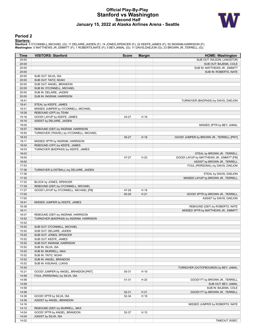#### **Official Play-By-Play Stanford vs Washington Second Half January 15, 2022 at Alaska Airlines Arena - Seattle**



#### **Period 2**

<mark>Starters:</mark><br>Stanford: 5 O'CONNELL,MICHAEL (G); 11 DELAIRE,JAIDEN (F); 14 JONES,SPENCER (F); 22 KEEFE,JAMES (F); 55 INGRAM,HARRISON (F);<br>**Washington**: 0 MATTHEWS JR.,EMMITT (F); 1 ROBERTS,NATE (F); 5 BEY,JAMAL (G); 11 DAVIS

| Time           | <b>VISITORS: Stanford</b>                                      | <b>Score</b> | <b>Margin</b> | <b>HOME: Washington</b>                                     |
|----------------|----------------------------------------------------------------|--------------|---------------|-------------------------------------------------------------|
| 20:00          |                                                                |              |               | SUB OUT: WILSON, LANGSTON                                   |
| 20:00          |                                                                |              |               | SUB OUT: BAJEMA, COLE                                       |
| 20:00          |                                                                |              |               | SUB IN: MATTHEWS JR., EMMITT                                |
| 20:00          |                                                                |              |               | SUB IN: ROBERTS, NATE                                       |
| 20:00          | SUB OUT: SILVA, ISA                                            |              |               |                                                             |
| 20:00          | SUB OUT: TAITZ, NOAH                                           |              |               |                                                             |
| 20:00          | SUB OUT: ANGEL, BRANDON                                        |              |               |                                                             |
| 20:00          | SUB IN: O'CONNELL, MICHAEL                                     |              |               |                                                             |
| 20:00          | SUB IN: DELAIRE, JAIDEN                                        |              |               |                                                             |
| 20:00          | SUB IN: INGRAM, HARRISON                                       |              |               |                                                             |
| 19:41          |                                                                |              |               | TURNOVER (BADPASS) by DAVIS, DAEJON                         |
| 19:41          | STEAL by KEEFE, JAMES                                          |              |               |                                                             |
| 19:31          | MISSED JUMPER by O'CONNELL, MICHAEL                            |              |               |                                                             |
| 19:28          | REBOUND (OFF) by TEAM                                          |              |               |                                                             |
| 19:16          | GOOD! LAYUP by KEEFE, JAMES                                    | 43-27        | H 16          |                                                             |
| 19:16          | ASSIST by DELAIRE, JAIDEN                                      |              |               |                                                             |
| 19:00          |                                                                |              |               | MISSED 3PTR by BEY, JAMAL                                   |
| 18:57          | REBOUND (DEF) by INGRAM, HARRISON                              |              |               |                                                             |
| 18:50          | TURNOVER (TRAVEL) by O'CONNELL, MICHAEL                        |              |               |                                                             |
| 18:33          |                                                                | 45-27        | H 18          | GOOD! JUMPER by BROWN JR., TERRELL [PNT]                    |
| 18:11          | MISSED 3PTR by INGRAM, HARRISON                                |              |               |                                                             |
| 18:04          | REBOUND (OFF) by KEEFE, JAMES                                  |              |               |                                                             |
| 18:03          | TURNOVER (BADPASS) by KEEFE, JAMES                             |              |               |                                                             |
| 18:03          |                                                                |              |               | STEAL by BROWN JR., TERRELL                                 |
| 18:00          |                                                                | 47-27        | H 20          | GOOD! LAYUP by MATTHEWS JR., EMMITT [FB]                    |
| 18:00          |                                                                |              |               | ASSIST by BROWN JR., TERRELL                                |
| 17:53          |                                                                |              |               | FOUL (PERSONAL) by DAVIS, DAEJON                            |
| 17:36<br>17:36 | TURNOVER (LOSTBALL) by DELAIRE, JAIDEN                         |              |               |                                                             |
|                |                                                                |              |               | STEAL by DAVIS, DAEJON                                      |
| 17:32          |                                                                |              |               | MISSED LAYUP by BROWN JR., TERRELL                          |
| 17:32<br>17:29 | BLOCK by JONES, SPENCER<br>REBOUND (DEF) by O'CONNELL, MICHAEL |              |               |                                                             |
| 17:27          | GOOD! LAYUP by O'CONNELL, MICHAEL [FB]                         | 47-29        | H 18          |                                                             |
| 17:00          |                                                                | 50-29        | H 21          |                                                             |
| 17:00          |                                                                |              |               | GOOD! 3PTR by BROWN JR., TERRELL<br>ASSIST by DAVIS, DAEJON |
| 16:41          | MISSED JUMPER by KEEFE, JAMES                                  |              |               |                                                             |
| 16:36          |                                                                |              |               | REBOUND (DEF) by ROBERTS, NATE                              |
| 16:11          |                                                                |              |               | MISSED 3PTR by MATTHEWS JR., EMMITT                         |
| 16:07          | REBOUND (DEF) by INGRAM, HARRISON                              |              |               |                                                             |
| 15:52          | TURNOVER (BADPASS) by INGRAM, HARRISON                         |              |               |                                                             |
| 15:52          |                                                                |              |               |                                                             |
| 15:52          | SUB OUT: O'CONNELL, MICHAEL                                    |              |               |                                                             |
| 15:52          | SUB OUT: DELAIRE, JAIDEN                                       |              |               |                                                             |
| 15:52          | SUB OUT: JONES, SPENCER                                        |              |               |                                                             |
| 15:52          | SUB OUT: KEEFE, JAMES                                          |              |               |                                                             |
| 15:52          | SUB OUT: INGRAM, HARRISON                                      |              |               |                                                             |
| 15:52          | SUB IN: SILVA, ISA                                             |              |               |                                                             |
| 15:52          | SUB IN: MURRELL, MAX                                           |              |               |                                                             |
| 15:52          | SUB IN: TAITZ, NOAH                                            |              |               |                                                             |
| 15:52          | SUB IN: ANGEL, BRANDON                                         |              |               |                                                             |
| 15:52          | SUB IN: KISUNAS, LUKAS                                         |              |               |                                                             |
| 15:30          |                                                                |              |               | TURNOVER (OUTOFBOUNDS) by BEY, JAMAL                        |
| 15:21          | GOOD! JUMPER by ANGEL, BRANDON [PNT]                           | 50-31        | H 19          |                                                             |
| 14:58          | FOUL (PERSONAL) by SILVA, ISA                                  |              |               |                                                             |
| 14:58          |                                                                | 51-31        | H 20          | GOOD! FT by BROWN JR., TERRELL                              |
| 14:58          |                                                                |              |               | SUB OUT: BEY, JAMAL                                         |
| 14:58          |                                                                |              |               | SUB IN: BAJEMA, COLE                                        |
| 14:58          |                                                                | 52-31        | H 21          | GOOD! FT by BROWN JR., TERRELL                              |
| 14:36          | GOOD! 3PTR by SILVA, ISA                                       | 52-34        | H 18          |                                                             |
| 14:36          | ASSIST by ANGEL, BRANDON                                       |              |               |                                                             |
| 14:16          |                                                                |              |               | MISSED JUMPER by ROBERTS, NATE                              |
| 14:12          | REBOUND (DEF) by MURRELL, MAX                                  |              |               |                                                             |
| 14:04          | GOOD! 3PTR by ANGEL, BRANDON                                   | 52-37        | H 15          |                                                             |
| 14:04          | ASSIST by SILVA, ISA                                           |              |               |                                                             |
| 14:02          |                                                                |              |               | TIMEOUT 30SEC                                               |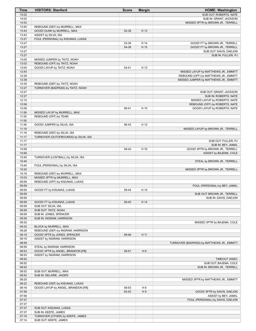| Time           | <b>VISITORS: Stanford</b>            | <b>Score</b> | <b>Margin</b>  | <b>HOME: Washington</b>                    |
|----------------|--------------------------------------|--------------|----------------|--------------------------------------------|
| 14:02          |                                      |              |                | SUB OUT: ROBERTS, NATE                     |
| 14:02          |                                      |              |                | SUB IN: GRANT, JACKSON                     |
| 13:53          |                                      |              |                | MISSED 3PTR by BROWN JR., TERRELL          |
| 13:50          | REBOUND (DEF) by MURRELL, MAX        |              |                |                                            |
| 13:43          | GOOD! DUNK by MURRELL, MAX           | 52-39        | H 13           |                                            |
| 13:43          | ASSIST by SILVA, ISA                 |              |                |                                            |
| 13:27          | FOUL (PERSONAL) by KISUNAS, LUKAS    |              |                |                                            |
| 13:27          |                                      | 53-39        | H 14           | GOOD! FT by BROWN JR., TERRELL             |
| 13:27          |                                      | 54-39        | H 15           | GOOD! FT by BROWN JR., TERRELL             |
| 13:27          |                                      |              |                | SUB OUT: DAVIS, DAEJON                     |
| 13:27          |                                      |              |                | SUB IN: FULLER, PJ                         |
| 13:05          | MISSED JUMPER by TAITZ, NOAH         |              |                |                                            |
| 13:02          | REBOUND (OFF) by TAITZ, NOAH         |              |                |                                            |
| 13:00          | GOOD! LAYUP by TAITZ, NOAH           | 54-41        | H 13           |                                            |
| 12:43          |                                      |              |                | MISSED LAYUP by MATTHEWS JR., EMMITT       |
| 12:39          |                                      |              |                | REBOUND (OFF) by MATTHEWS JR., EMMITT      |
| 12:38          |                                      |              |                | MISSED JUMPER by MATTHEWS JR., EMMITT      |
| 12:35          | REBOUND (DEF) by TAITZ, NOAH         |              |                |                                            |
| 12:27          | TURNOVER (BADPASS) by TAITZ, NOAH    |              |                |                                            |
| 12:27          |                                      |              |                | SUB OUT: GRANT, JACKSON                    |
| 12:27          |                                      |              |                | SUB IN: ROBERTS, NATE                      |
| 12:10          |                                      |              |                | MISSED LAYUP by ROBERTS, NATE              |
| 12:08          |                                      |              |                | REBOUND (OFF) by ROBERTS, NATE             |
| 12:06          |                                      | 56-41        | H 15           | GOOD! LAYUP by ROBERTS, NATE               |
| 11:56          | MISSED LAYUP by MURRELL, MAX         |              |                |                                            |
| 11:55          | REBOUND (OFF) by TEAM                |              |                |                                            |
| 11:55          |                                      |              |                |                                            |
| 11:36          | GOOD! JUMPER by SILVA, ISA           | 56-43        | H 13           |                                            |
| 11:19          |                                      |              |                | MISSED LAYUP by BROWN JR., TERRELL         |
| 11:18          | REBOUND (DEF) by SILVA, ISA          |              |                |                                            |
| 11:17          | TURNOVER (OUTOFBOUNDS) by SILVA, ISA |              |                |                                            |
| 11:17          |                                      |              |                | SUB OUT: FULLER, PJ                        |
| 11:17          |                                      |              |                | SUB IN: BEY, JAMAL                         |
| 10:58          |                                      | 59-43        | H 16           | GOOD! 3PTR by BROWN JR., TERRELL           |
| 10:58          |                                      |              |                | ASSIST by BAJEMA, COLE                     |
| 10:40          | TURNOVER (LOSTBALL) by SILVA, ISA    |              |                |                                            |
| 10:40<br>10:40 |                                      |              |                | STEAL by BROWN JR., TERRELL                |
| 10:20          | FOUL (PERSONAL) by SILVA, ISA        |              |                |                                            |
| 10:16          | REBOUND (DEF) by MURRELL, MAX        |              |                | MISSED 3PTR by BROWN JR., TERRELL          |
| 10:03          | MISSED 3PTR by MURRELL, MAX          |              |                |                                            |
| 09:59          | REBOUND (OFF) by KISUNAS, LUKAS      |              |                |                                            |
| 09:59          |                                      |              |                | FOUL (PERSONAL) by BEY, JAMAL              |
| 09:59          | GOOD! FT by KISUNAS, LUKAS           | 59-44        | H 15           |                                            |
| 09:59          |                                      |              |                | SUB OUT: BROWN JR., TERRELL                |
| 09:59          |                                      |              |                | SUB IN: DAVIS, DAEJON                      |
| 09:59          | GOOD! FT by KISUNAS, LUKAS           | 59-45        | H 14           |                                            |
| 09:59          | SUB OUT: SILVA, ISA                  |              |                |                                            |
| 09:59          | SUB OUT: TAITZ, NOAH                 |              |                |                                            |
| 09:59          | SUB IN: JONES, SPENCER               |              |                |                                            |
| 09:59          | SUB IN: INGRAM, HARRISON             |              |                |                                            |
| 09:32          |                                      |              |                | MISSED 3PTR by BAJEMA, COLE                |
| 09:32          | BLOCK by MURRELL, MAX                |              |                |                                            |
| 09:28          | REBOUND (DEF) by INGRAM, HARRISON    |              |                |                                            |
| 09:19          | GOOD! 3PTR by JONES, SPENCER         | 59-48        | H 11           |                                            |
| 09:19          | ASSIST by INGRAM, HARRISON           |              |                |                                            |
| 08:59          |                                      |              |                | TURNOVER (BADPASS) by MATTHEWS JR., EMMITT |
| 08:59          | STEAL by INGRAM, HARRISON            |              |                |                                            |
| 08:53          | GOOD! 3PTR by ANGEL, BRANDON [FB]    | 59-51        | H <sub>8</sub> |                                            |
| 08:53          | ASSIST by INGRAM, HARRISON           |              |                |                                            |
| 08:52          |                                      |              |                | TIMEOUT 30SEC                              |
| 08:52          |                                      |              |                | SUB OUT: BAJEMA, COLE                      |
| 08:52          |                                      |              |                | SUB IN: BROWN JR., TERRELL                 |
| 08:52          | SUB OUT: MURRELL, MAX                |              |                |                                            |
| 08:52          | SUB IN: DELAIRE, JAIDEN              |              |                |                                            |
| 08:25          |                                      |              |                | MISSED 3PTR by MATTHEWS JR., EMMITT        |
| 08:22          | REBOUND (DEF) by KISUNAS, LUKAS      |              |                |                                            |
| 08:16          | GOOD! LAYUP by ANGEL, BRANDON [FB]   | 59-53        | H <sub>6</sub> |                                            |
| 07:56          |                                      | 62-53        | H9             | GOOD! 3PTR by DAVIS, DAEJON                |
| 07:56          |                                      |              |                | ASSIST by BEY, JAMAL                       |
| 07:37          |                                      |              |                | FOUL (PERSONAL) by DAVIS, DAEJON           |
| 07:37          |                                      |              |                |                                            |
| 07:37          | SUB OUT: KISUNAS, LUKAS              |              |                |                                            |
| 07:37          | SUB IN: KEEFE, JAMES                 |              |                |                                            |
| 07:16          | TURNOVER (OTHER) by KEEFE, JAMES     |              |                |                                            |
| 07:14          | SUB OUT: KEEFE, JAMES                |              |                |                                            |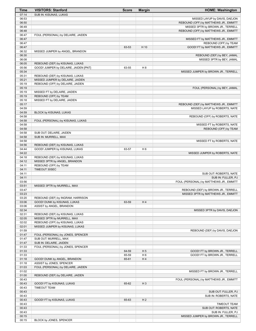| <b>Time</b>    | <b>VISITORS: Stanford</b>                                         | <b>Score</b> | <b>Margin</b>  | <b>HOME: Washington</b>                 |
|----------------|-------------------------------------------------------------------|--------------|----------------|-----------------------------------------|
| 07:14          | SUB IN: KISUNAS, LUKAS                                            |              |                |                                         |
| 06:53          |                                                                   |              |                | MISSED LAYUP by DAVIS, DAEJON           |
| 06:50          |                                                                   |              |                | REBOUND (OFF) by MATTHEWS JR., EMMITT   |
| 06:49          |                                                                   |              |                | MISSED 3PTR by BROWN JR., TERRELL       |
| 06:48          |                                                                   |              |                | REBOUND (OFF) by MATTHEWS JR., EMMITT   |
| 06:47          | FOUL (PERSONAL) by DELAIRE, JAIDEN                                |              |                |                                         |
| 06:47          |                                                                   |              |                | MISSED FT by MATTHEWS JR., EMMITT       |
| 06:47          |                                                                   |              |                | REBOUND (OFF) by TEAM                   |
| 06:47          |                                                                   | 63-53        | H 10           | GOOD! FT by MATTHEWS JR., EMMITT        |
| 06:32          | MISSED JUMPER by ANGEL, BRANDON                                   |              |                |                                         |
| 06:30          |                                                                   |              |                | REBOUND (DEF) by BEY, JAMAL             |
| 06:08          | REBOUND (DEF) by KISUNAS, LUKAS                                   |              |                | MISSED 3PTR by BEY, JAMAL               |
| 06:05<br>05:56 | GOOD! JUMPER by DELAIRE, JAIDEN [PNT]                             | 63-55        | H 8            |                                         |
| 05:34          |                                                                   |              |                | MISSED JUMPER by BROWN JR., TERRELL     |
| 05:31          | REBOUND (DEF) by KISUNAS, LUKAS                                   |              |                |                                         |
| 05:21          | MISSED JUMPER by DELAIRE, JAIDEN                                  |              |                |                                         |
| 05:19          | REBOUND (OFF) by DELAIRE, JAIDEN                                  |              |                |                                         |
| 05:19          |                                                                   |              |                | FOUL (PERSONAL) by BEY, JAMAL           |
| 05:19          | MISSED FT by DELAIRE, JAIDEN                                      |              |                |                                         |
| 05:19          | REBOUND (OFF) by TEAM                                             |              |                |                                         |
| 05:18          | MISSED FT by DELAIRE, JAIDEN                                      |              |                |                                         |
| 05:17          |                                                                   |              |                | REBOUND (DEF) by MATTHEWS JR., EMMITT   |
| 04:59          |                                                                   |              |                | MISSED LAYUP by ROBERTS, NATE           |
| 04:59          | BLOCK by KISUNAS, LUKAS                                           |              |                |                                         |
| 04:58          |                                                                   |              |                | REBOUND (OFF) by ROBERTS, NATE          |
| 04:58          | FOUL (PERSONAL) by KISUNAS, LUKAS                                 |              |                |                                         |
| 04:58          |                                                                   |              |                | MISSED FT by ROBERTS, NATE              |
| 04:58          |                                                                   |              |                | REBOUND (OFF) by TEAM                   |
| 04:58          | SUB OUT: DELAIRE, JAIDEN                                          |              |                |                                         |
| 04:58          | SUB IN: MURRELL, MAX                                              |              |                |                                         |
| 04:58          |                                                                   |              |                | MISSED FT by ROBERTS, NATE              |
| 04:56<br>04:44 | REBOUND (DEF) by KISUNAS, LUKAS<br>GOOD! JUMPER by KISUNAS, LUKAS | 63-57        | H <sub>6</sub> |                                         |
| 04:22          |                                                                   |              |                | MISSED JUMPER by ROBERTS, NATE          |
| 04:18          | REBOUND (DEF) by KISUNAS, LUKAS                                   |              |                |                                         |
| 04:12          | MISSED 3PTR by ANGEL, BRANDON                                     |              |                |                                         |
| 04:11          | REBOUND (OFF) by TEAM                                             |              |                |                                         |
| 04:11          | TIMEOUT 30SEC                                                     |              |                |                                         |
| 04:11          |                                                                   |              |                | SUB OUT: ROBERTS, NATE                  |
| 04:11          |                                                                   |              |                | SUB IN: FULLER, PJ                      |
| 03:56          |                                                                   |              |                | FOUL (PERSONAL) by MATTHEWS JR., EMMITT |
| 03:51          | MISSED 3PTR by MURRELL, MAX                                       |              |                |                                         |
| 03:47          |                                                                   |              |                | REBOUND (DEF) by BROWN JR., TERRELL     |
| 03:23          |                                                                   |              |                | MISSED 3PTR by MATTHEWS JR., EMMITT     |
| 03:20<br>03:06 | REBOUND (DEF) by INGRAM, HARRISON<br>GOOD! DUNK by KISUNAS, LUKAS | 63-59        | H4             |                                         |
| 03:06          | ASSIST by ANGEL, BRANDON                                          |              |                |                                         |
| 02:34          |                                                                   |              |                | MISSED 3PTR by DAVIS, DAEJON            |
| 02:31          | REBOUND (DEF) by KISUNAS, LUKAS                                   |              |                |                                         |
| 02:05          | MISSED 3PTR by MURRELL, MAX                                       |              |                |                                         |
| 02:02          | REBOUND (OFF) by KISUNAS, LUKAS                                   |              |                |                                         |
| 02:01          | MISSED JUMPER by KISUNAS, LUKAS                                   |              |                |                                         |
| 01:59          |                                                                   |              |                | REBOUND (DEF) by DAVIS, DAEJON          |
| 01:47          | FOUL (PERSONAL) by JONES, SPENCER                                 |              |                |                                         |
| 01:47          | SUB OUT: MURRELL, MAX                                             |              |                |                                         |
| 01:47          | SUB IN: DELAIRE, JAIDEN                                           |              |                |                                         |
| 01:33          | FOUL (PERSONAL) by JONES, SPENCER                                 |              |                |                                         |
| 01:33          |                                                                   | 64-59        | H <sub>5</sub> | GOOD! FT by BROWN JR., TERRELL          |
| 01:33          |                                                                   | 65-59        | H <sub>6</sub> | GOOD! FT by BROWN JR., TERRELL          |
| 01:18          | GOOD! DUNK by ANGEL, BRANDON                                      | 65-61        | H4             |                                         |
| 01:18          | ASSIST by JONES, SPENCER                                          |              |                |                                         |
| 01:03          | FOUL (PERSONAL) by DELAIRE, JAIDEN                                |              |                |                                         |
| 01:02<br>01:00 | REBOUND (DEF) by DELAIRE, JAIDEN                                  |              |                | MISSED FT by BROWN JR., TERRELL         |
| 00:43          |                                                                   |              |                | FOUL (PERSONAL) by MATTHEWS JR., EMMITT |
| 00:43          | GOOD! FT by KISUNAS, LUKAS                                        | 65-62        | $H_3$          |                                         |
| 00:43          | <b>TIMEOUT TEAM</b>                                               |              |                |                                         |
| 00:43          |                                                                   |              |                | SUB OUT: FULLER, PJ                     |
| 00:43          |                                                                   |              |                | SUB IN: ROBERTS, NATE                   |
| 00:43          | GOOD! FT by KISUNAS, LUKAS                                        | 65-63        | H <sub>2</sub> |                                         |
| 00:43          |                                                                   |              |                | <b>TIMEOUT TEAM</b>                     |
| 00:43          |                                                                   |              |                | SUB OUT: ROBERTS, NATE                  |
| 00:43          |                                                                   |              |                | SUB IN: FULLER, PJ                      |
| 00:15          |                                                                   |              |                | MISSED JUMPER by BROWN JR., TERRELL     |
| 00:15          | BLOCK by JONES, SPENCER                                           |              |                |                                         |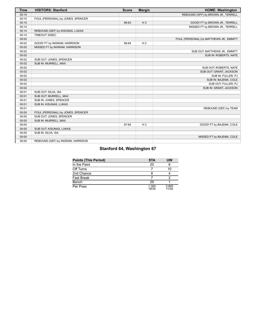| <b>Time</b> | <b>VISITORS: Stanford</b>         | <b>Score</b> | <b>Margin</b>  | <b>HOME: Washington</b>                 |
|-------------|-----------------------------------|--------------|----------------|-----------------------------------------|
| 00:15       |                                   |              |                | REBOUND (OFF) by BROWN JR., TERRELL     |
| 00:15       | FOUL (PERSONAL) by JONES, SPENCER |              |                |                                         |
| 00:15       |                                   | 66-63        | $H_3$          | GOOD! FT by BROWN JR., TERRELL          |
| 00:14       |                                   |              |                | MISSED FT by BROWN JR., TERRELL         |
| 00:14       | REBOUND (DEF) by KISUNAS, LUKAS   |              |                |                                         |
| 00:14       | TIMEOUT 30SEC                     |              |                |                                         |
| 00:02       |                                   |              |                | FOUL (PERSONAL) by MATTHEWS JR., EMMITT |
| 00:02       | GOOD! FT by INGRAM, HARRISON      | 66-64        | H <sub>2</sub> |                                         |
| 00:02       | MISSED FT by INGRAM, HARRISON     |              |                |                                         |
| 00:02       |                                   |              |                | SUB OUT: MATTHEWS JR., EMMITT           |
| 00:02       |                                   |              |                | SUB IN: ROBERTS, NATE                   |
| 00:02       | SUB OUT: JONES, SPENCER           |              |                |                                         |
| 00:02       | SUB IN: MURRELL, MAX              |              |                |                                         |
| 00:02       |                                   |              |                | SUB OUT: ROBERTS, NATE                  |
| 00:02       |                                   |              |                | SUB OUT: GRANT, JACKSON                 |
| 00:02       |                                   |              |                | SUB IN: FULLER, PJ                      |
| 00:02       |                                   |              |                | SUB IN: BAJEMA, COLE                    |
| 00:02       |                                   |              |                | SUB OUT: FULLER, PJ                     |
| 00:02       |                                   |              |                | SUB IN: GRANT, JACKSON                  |
| 00:01       | SUB OUT: SILVA, ISA               |              |                |                                         |
| 00:01       | SUB OUT: MURRELL, MAX             |              |                |                                         |
| 00:01       | SUB IN: JONES, SPENCER            |              |                |                                         |
| 00:01       | SUB IN: KISUNAS, LUKAS            |              |                |                                         |
| 00:01       |                                   |              |                | REBOUND (DEF) by TEAM                   |
| 00:00       | FOUL (PERSONAL) by JONES, SPENCER |              |                |                                         |
| 00:00       | SUB OUT: JONES, SPENCER           |              |                |                                         |
| 00:00       | SUB IN: MURRELL, MAX              |              |                |                                         |
| 00:00       |                                   | 67-64        | $H_3$          | GOOD! FT by BAJEMA, COLE                |
| 00:00       | SUB OUT: KISUNAS, LUKAS           |              |                |                                         |
| 00:00       | SUB IN: SILVA, ISA                |              |                |                                         |
| 00:00       |                                   |              |                | MISSED FT by BAJEMA, COLE               |
| 00:00       | REBOUND (DEF) by INGRAM, HARRISON |              |                |                                         |

# **Stanford 64, Washington 67**

| <b>Points (This Period)</b> | <b>STA</b>     | UW             |
|-----------------------------|----------------|----------------|
| In the Paint                | 20             |                |
| Off Turns                   |                | 10             |
| 2nd Chance                  |                |                |
| <b>Fast Break</b>           |                |                |
| Bench                       | 29             |                |
| Per Poss                    | 1.300<br>18/30 | 0.800<br>11/30 |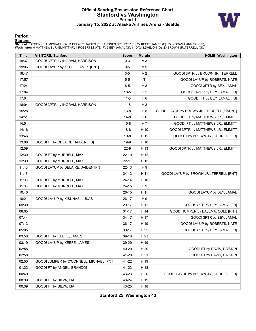### **Official Scoring/Possession Reference Chart Stanford vs Washington Period 1 January 15, 2022 at Alaska Airlines Arena - Seattle**



#### **Period 1**

<mark>Starters:</mark><br>Stanford: 5 O'CONNELL,MICHAEL (G); 11 DELAIRE,JAIDEN (F); 14 JONES,SPENCER (F); 22 KEEFE,JAMES (F); 55 INGRAM,HARRISON (F);<br>**Washington**: 0 MATTHEWS JR.,EMMITT (F); 1 ROBERTS,NATE (F); 5 BEY,JAMAL (G); 11 DAVIS

| <b>Time</b> | <b>VISITORS: Stanford</b>                | <b>Score</b> | <b>Margin</b>  | <b>HOME: Washington</b>                    |
|-------------|------------------------------------------|--------------|----------------|--------------------------------------------|
| 19:37       | GOOD! 3PTR by INGRAM, HARRISON           | $0 - 3$      | $V_3$          |                                            |
| 19:06       | GOOD! LAYUP by KEEFE, JAMES [PNT]        | $0 - 5$      | V <sub>5</sub> |                                            |
| 18:47       |                                          | $3-5$        | V <sub>2</sub> | GOOD! 3PTR by BROWN JR., TERRELL           |
| 17:57       |                                          | $5-5$        | $\mathsf{T}$   | GOOD! LAYUP by ROBERTS, NATE               |
| 17:24       |                                          | $8-5$        | $H_3$          | GOOD! 3PTR by BEY, JAMAL                   |
| 17:04       |                                          | $10-5$       | H <sub>5</sub> | GOOD! LAYUP by BEY, JAMAL [FB]             |
| 17:04       |                                          | $11 - 5$     | H <sub>6</sub> | GOOD! FT by BEY, JAMAL [FB]                |
| 16:04       | GOOD! 3PTR by INGRAM, HARRISON           | $11 - 8$     | $H_3$          |                                            |
| 15:28       |                                          | $13 - 8$     | H <sub>5</sub> | GOOD! LAYUP by BROWN JR., TERRELL [FB/PNT] |
| 14:51       |                                          | $14 - 8$     | H <sub>6</sub> | GOOD! FT by MATTHEWS JR., EMMITT           |
| 14:51       |                                          | $15 - 8$     | H 7            | GOOD! FT by MATTHEWS JR., EMMITT           |
| 14:16       |                                          | $18 - 8$     | H 10           | GOOD! 3PTR by MATTHEWS JR., EMMITT         |
| 13:46       |                                          | $19-8$       | H 11           | GOOD! FT by BROWN JR., TERRELL [FB]        |
| 13:06       | GOOD! FT by DELAIRE, JAIDEN [FB]         | $19-9$       | H 10           |                                            |
| 12:59       |                                          | $22-9$       | H 13           | GOOD! 3PTR by MATTHEWS JR., EMMITT         |
| 12:39       | GOOD! FT by MURRELL, MAX                 | $22 - 10$    | H 12           |                                            |
| 12:39       | GOOD! FT by MURRELL, MAX                 | $22 - 11$    | H 11           |                                            |
| 11:40       | GOOD! LAYUP by DELAIRE, JAIDEN [PNT]     | $22 - 13$    | H9             |                                            |
| 11:18       |                                          | $24-13$      | H 11           | GOOD! LAYUP by BROWN JR., TERRELL [PNT]    |
| 11:08       | GOOD! FT by MURRELL, MAX                 | $24 - 14$    | H 10           |                                            |
| 11:08       | GOOD! FT by MURRELL, MAX                 | $24 - 15$    | H9             |                                            |
| 10:40       |                                          | $26-15$      | H 11           | GOOD! LAYUP by BEY, JAMAL                  |
| 10:21       | GOOD! LAYUP by KISUNAS, LUKAS            | $26-17$      | H9             |                                            |
| 09:39       |                                          | 29-17        | H 12           | GOOD! 3PTR by BEY, JAMAL [FB]              |
| 08:05       |                                          | $31 - 17$    | H 14           | GOOD! JUMPER by BAJEMA, COLE [PNT]         |
| 07:44       |                                          | 34-17        | H 17           | GOOD! 3PTR by BEY, JAMAL                   |
| 07:13       |                                          | $36-17$      | H 19           | GOOD! LAYUP by ROBERTS, NATE               |
| 05:05       |                                          | 39-17        | H 22           | GOOD! 3PTR by BEY, JAMAL [FB]              |
| 03:58       | GOOD! FT by KEEFE, JAMES                 | 39-18        | H 21           |                                            |
| 03:19       | GOOD! LAYUP by KEEFE, JAMES              | 39-20        | H 19           |                                            |
| 02:58       |                                          | 40-20        | H 20           | GOOD! FT by DAVIS, DAEJON                  |
| 02:58       |                                          | 41-20        | H 21           | GOOD! FT by DAVIS, DAEJON                  |
| 02:50       | GOOD! JUMPER by O'CONNELL, MICHAEL [PNT] | 41-22        | H 19           |                                            |
| 01:22       | GOOD! FT by ANGEL, BRANDON               | 41-23        | H 18           |                                            |
| 00:49       |                                          | 43-23        | H 20           | GOOD! LAYUP by BROWN JR., TERRELL [FB]     |
| 00:39       | GOOD! FT by SILVA, ISA                   | 43-24        | H 19           |                                            |
| 00:39       | GOOD! FT by SILVA, ISA                   | 43-25        | H 18           |                                            |

**Stanford 25, Washington 43**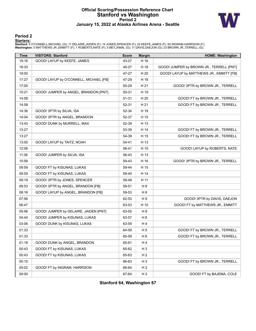### **Official Scoring/Possession Reference Chart Stanford vs Washington Period 2 January 15, 2022 at Alaska Airlines Arena - Seattle**



#### **Period 2**

#### **Starters:**

**Stanford**: 5 O'CONNELL,MICHAEL (G); 11 DELAIRE,JAIDEN (F); 14 JONES,SPENCER (F); 22 KEEFE,JAMES (F); 55 INGRAM,HARRISON (F);<br>**Washington**: 0 MATTHEWS JR.,EMMITT (F); 1 ROBERTS,NATE (F); 5 BEY,JAMAL (G); 11 DAVIS,DAEJON (G

| Time  | <b>VISITORS: Stanford</b>              | <b>Score</b> | <b>Margin</b>  | <b>HOME: Washington</b>                  |
|-------|----------------------------------------|--------------|----------------|------------------------------------------|
| 19:16 | GOOD! LAYUP by KEEFE, JAMES            | 43-27        | H 16           |                                          |
| 18:33 |                                        | 45-27        | H 18           | GOOD! JUMPER by BROWN JR., TERRELL [PNT] |
| 18:00 |                                        | 47-27        | H 20           | GOOD! LAYUP by MATTHEWS JR., EMMITT [FB] |
| 17:27 | GOOD! LAYUP by O'CONNELL, MICHAEL [FB] | 47-29        | H 18           |                                          |
| 17:00 |                                        | 50-29        | H 21           | GOOD! 3PTR by BROWN JR., TERRELL         |
| 15:21 | GOOD! JUMPER by ANGEL, BRANDON [PNT]   | 50-31        | H 19           |                                          |
| 14:58 |                                        | $51 - 31$    | H 20           | GOOD! FT by BROWN JR., TERRELL           |
| 14:58 |                                        | 52-31        | H 21           | GOOD! FT by BROWN JR., TERRELL           |
| 14:36 | GOOD! 3PTR by SILVA, ISA               | 52-34        | H 18           |                                          |
| 14:04 | GOOD! 3PTR by ANGEL, BRANDON           | 52-37        | H 15           |                                          |
| 13:43 | GOOD! DUNK by MURRELL, MAX             | 52-39        | H 13           |                                          |
| 13:27 |                                        | 53-39        | H 14           | GOOD! FT by BROWN JR., TERRELL           |
| 13:27 |                                        | 54-39        | H 15           | GOOD! FT by BROWN JR., TERRELL           |
| 13:00 | GOOD! LAYUP by TAITZ, NOAH             | 54-41        | H 13           |                                          |
| 12:06 |                                        | 56-41        | H 15           | GOOD! LAYUP by ROBERTS, NATE             |
| 11:36 | GOOD! JUMPER by SILVA, ISA             | 56-43        | H 13           |                                          |
| 10:58 |                                        | 59-43        | H 16           | GOOD! 3PTR by BROWN JR., TERRELL         |
| 09:59 | GOOD! FT by KISUNAS, LUKAS             | 59-44        | H 15           |                                          |
| 09:59 | GOOD! FT by KISUNAS, LUKAS             | 59-45        | H 14           |                                          |
| 09:19 | GOOD! 3PTR by JONES, SPENCER           | 59-48        | H 11           |                                          |
| 08:53 | GOOD! 3PTR by ANGEL, BRANDON [FB]      | 59-51        | H 8            |                                          |
| 08:16 | GOOD! LAYUP by ANGEL, BRANDON [FB]     | 59-53        | H 6            |                                          |
| 07:56 |                                        | 62-53        | H 9            | GOOD! 3PTR by DAVIS, DAEJON              |
| 06:47 |                                        | 63-53        | H 10           | GOOD! FT by MATTHEWS JR., EMMITT         |
| 05:56 | GOOD! JUMPER by DELAIRE, JAIDEN [PNT]  | 63-55        | H 8            |                                          |
| 04:44 | GOOD! JUMPER by KISUNAS, LUKAS         | 63-57        | H 6            |                                          |
| 03:06 | GOOD! DUNK by KISUNAS, LUKAS           | 63-59        | H4             |                                          |
| 01:33 |                                        | 64-59        | H <sub>5</sub> | GOOD! FT by BROWN JR., TERRELL           |
| 01:33 |                                        | 65-59        | H <sub>6</sub> | GOOD! FT by BROWN JR., TERRELL           |
| 01:18 | GOOD! DUNK by ANGEL, BRANDON           | 65-61        | H 4            |                                          |
| 00:43 | GOOD! FT by KISUNAS, LUKAS             | 65-62        | H <sub>3</sub> |                                          |
| 00:43 | GOOD! FT by KISUNAS, LUKAS             | 65-63        | H <sub>2</sub> |                                          |
| 00:15 |                                        | 66-63        | H <sub>3</sub> | GOOD! FT by BROWN JR., TERRELL           |
| 00:02 | GOOD! FT by INGRAM, HARRISON           | 66-64        | H <sub>2</sub> |                                          |
| 00:00 |                                        | 67-64        | H <sub>3</sub> | GOOD! FT by BAJEMA, COLE                 |

**Stanford 64, Washington 67**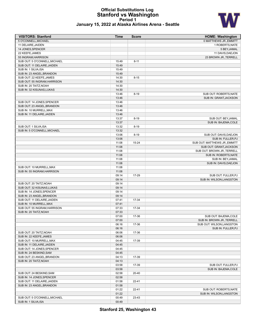#### **Official Substitutions Log Stanford vs Washington Period 1 January 15, 2022 at Alaska Airlines Arena - Seattle**



| <b>VISITORS: Stanford</b>     | <b>Time</b> | <b>Score</b> | <b>HOME: Washington</b>       |
|-------------------------------|-------------|--------------|-------------------------------|
| 5 O'CONNELL, MICHAEL          |             |              | 0 MATTHEWS JR., EMMITT        |
| 11 DELAIRE, JAIDEN            |             |              | 1 ROBERTS, NATE               |
| 14 JONES, SPENCER             |             |              | 5 BEY, JAMAL                  |
| 22 KEEFE, JAMES               |             |              | 11 DAVIS, DAEJON              |
| 55 INGRAM, HARRISON           |             |              | 23 BROWN JR., TERRELL         |
| SUB OUT: 5 O'CONNELL, MICHAEL | 15:49       | $8 - 11$     |                               |
| SUB OUT: 11 DELAIRE, JAIDEN   | 15:49       |              |                               |
| SUB IN: 1 SILVA, ISA          | 15:49       |              |                               |
| SUB IN: 23 ANGEL, BRANDON     | 15:49       |              |                               |
| SUB OUT: 22 KEEFE, JAMES      | 14:30       | $8 - 15$     |                               |
| SUB OUT: 55 INGRAM, HARRISON  | 14:30       |              |                               |
| SUB IN: 20 TAITZ, NOAH        | 14:30       |              |                               |
| SUB IN: 32 KISUNAS, LUKAS     | 14:30       |              |                               |
|                               | 13:46       | $8 - 19$     | SUB OUT: ROBERTS, NATE        |
|                               | 13:46       |              | SUB IN: GRANT, JACKSON        |
| SUB OUT: 14 JONES, SPENCER    | 13:46       |              |                               |
| SUB OUT: 23 ANGEL, BRANDON    | 13:46       |              |                               |
| SUB IN: 10 MURRELL, MAX       | 13:46       |              |                               |
| SUB IN: 11 DELAIRE, JAIDEN    | 13:46       |              |                               |
|                               |             | $8 - 19$     | SUB OUT: BEY, JAMAL           |
|                               | 13:37       |              |                               |
|                               | 13:37       |              | SUB IN: BAJEMA, COLE          |
| SUB OUT: 1 SILVA, ISA         | 13:32       | $8 - 19$     |                               |
| SUB IN: 5 O'CONNELL, MICHAEL  | 13:32       |              |                               |
|                               | 13:06       | $8 - 19$     | SUB OUT: DAVIS, DAEJON        |
|                               | 13:06       |              | SUB IN: FULLER, PJ            |
|                               | 11:08       | 15-24        | SUB OUT: MATTHEWS JR., EMMITT |
|                               | 11:08       |              | SUB OUT: GRANT, JACKSON       |
|                               | 11:08       |              | SUB OUT: BROWN JR., TERRELL   |
|                               | 11:08       |              | SUB IN: ROBERTS, NATE         |
|                               | 11:08       |              | SUB IN: BEY, JAMAL            |
|                               | 11:08       |              | SUB IN: DAVIS, DAEJON         |
| SUB OUT: 10 MURRELL, MAX      | 11:08       |              |                               |
| SUB IN: 55 INGRAM, HARRISON   | 11:08       |              |                               |
|                               | 09:14       | 17-29        | SUB OUT: FULLER, PJ           |
|                               | 09:14       |              | SUB IN: WILSON, LANGSTON      |
| SUB OUT: 20 TAITZ, NOAH       | 09:14       |              |                               |
| SUB OUT: 32 KISUNAS, LUKAS    | 09:14       |              |                               |
| SUB IN: 14 JONES, SPENCER     | 09:14       |              |                               |
| SUB IN: 23 ANGEL, BRANDON     | 09:14       |              |                               |
| SUB OUT: 11 DELAIRE, JAIDEN   | 07:41       | 17-34        |                               |
| SUB IN: 10 MURRELL, MAX       | 07:41       |              |                               |
| SUB OUT: 55 INGRAM, HARRISON  | 07:33       | 17-34        |                               |
| SUB IN: 20 TAITZ, NOAH        | 07:33       |              |                               |
|                               | 07:00       | 17-36        | SUB OUT: BAJEMA, COLE         |
|                               | 07:00       |              | SUB IN: BROWN JR., TERRELL    |
|                               | 06:16       | 17-36        | SUB OUT: WILSON, LANGSTON     |
|                               | 06:16       |              | SUB IN: FULLER, PJ            |
| SUB OUT: 20 TAITZ, NOAH       | 06:06       | 17-36        |                               |
| SUB IN: 22 KEEFE, JAMES       |             |              |                               |
|                               | 06:06       |              |                               |
| SUB OUT: 10 MURRELL, MAX      | 04:45       | 17-39        |                               |
| SUB IN: 11 DELAIRE, JAIDEN    | 04:45       |              |                               |
| SUB OUT: 14 JONES, SPENCER    | 04:45       |              |                               |
| SUB IN: 24 BESKIND, SAM       | 04:45       |              |                               |
| SUB OUT: 23 ANGEL, BRANDON    | 04:13       | 17-39        |                               |
| SUB IN: 20 TAITZ, NOAH        | 04:13       |              |                               |
|                               | 03:58       | 17-39        | SUB OUT: FULLER, PJ           |
|                               | 03:58       |              | SUB IN: BAJEMA, COLE          |
| SUB OUT: 24 BESKIND, SAM      | 02:58       | 20-40        |                               |
| SUB IN: 14 JONES, SPENCER     | 02:58       |              |                               |
| SUB OUT: 11 DELAIRE, JAIDEN   | 01:58       | 22-41        |                               |
| SUB IN: 23 ANGEL, BRANDON     | 01:58       |              |                               |
|                               | 01:22       | 22-41        | SUB OUT: ROBERTS, NATE        |
|                               | 01:22       |              | SUB IN: WILSON, LANGSTON      |
| SUB OUT: 5 O'CONNELL, MICHAEL | 00:49       | 23-43        |                               |

SUB IN: 1 SILVA, ISA 00:49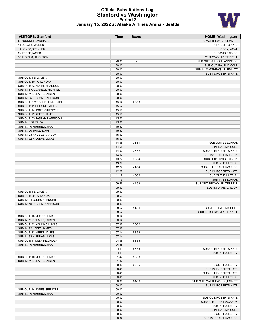#### **Official Substitutions Log Stanford vs Washington Period 2 January 15, 2022 at Alaska Airlines Arena - Seattle**



| <b>VISITORS: Stanford</b>     | <b>Time</b> | <b>Score</b>   | <b>HOME: Washington</b>                      |
|-------------------------------|-------------|----------------|----------------------------------------------|
| 5 O'CONNELL, MICHAEL          |             |                | 0 MATTHEWS JR., EMMITT                       |
| 11 DELAIRE, JAIDEN            |             |                | 1 ROBERTS, NATE                              |
| 14 JONES, SPENCER             |             |                | 5 BEY, JAMAL                                 |
| 22 KEEFE, JAMES               |             |                | 11 DAVIS, DAEJON                             |
| 55 INGRAM, HARRISON           |             |                | 23 BROWN JR., TERRELL                        |
|                               | 20:00       | $\overline{a}$ | SUB OUT: WILSON, LANGSTON                    |
|                               | 20:00       |                | SUB OUT: BAJEMA, COLE                        |
|                               | 20:00       |                | SUB IN: MATTHEWS JR., EMMITT                 |
|                               | 20:00       |                | SUB IN: ROBERTS, NATE                        |
| SUB OUT: 1 SILVA, ISA         | 20:00       |                |                                              |
| SUB OUT: 20 TAITZ, NOAH       | 20:00       |                |                                              |
| SUB OUT: 23 ANGEL, BRANDON    | 20:00       |                |                                              |
| SUB IN: 5 O'CONNELL, MICHAEL  | 20:00       |                |                                              |
| SUB IN: 11 DELAIRE, JAIDEN    | 20:00       |                |                                              |
| SUB IN: 55 INGRAM, HARRISON   | 20:00       |                |                                              |
| SUB OUT: 5 O'CONNELL, MICHAEL | 15:52       | 29-50          |                                              |
| SUB OUT: 11 DELAIRE, JAIDEN   | 15:52       |                |                                              |
| SUB OUT: 14 JONES, SPENCER    | 15:52       |                |                                              |
| SUB OUT: 22 KEEFE, JAMES      | 15:52       |                |                                              |
| SUB OUT: 55 INGRAM, HARRISON  | 15:52       |                |                                              |
| SUB IN: 1 SILVA, ISA          | 15:52       |                |                                              |
| SUB IN: 10 MURRELL, MAX       | 15:52       |                |                                              |
| SUB IN: 20 TAITZ, NOAH        | 15:52       |                |                                              |
| SUB IN: 23 ANGEL, BRANDON     | 15:52       |                |                                              |
| SUB IN: 32 KISUNAS, LUKAS     | 15:52       |                |                                              |
|                               | 14:58       | $31 - 51$      | SUB OUT: BEY, JAMAL                          |
|                               | 14:58       |                | SUB IN: BAJEMA, COLE                         |
|                               | 14:02       | 37-52          | SUB OUT: ROBERTS, NATE                       |
|                               | 14:02       |                | SUB IN: GRANT, JACKSON                       |
|                               | 13:27       | 39-54          | SUB OUT: DAVIS, DAEJON                       |
|                               | 13:27       |                | SUB IN: FULLER, PJ                           |
|                               | 12:27       | 41-54          | SUB OUT: GRANT, JACKSON                      |
|                               | 12:27       |                | SUB IN: ROBERTS, NATE                        |
|                               | 11:17       | 43-56          | SUB OUT: FULLER, PJ                          |
|                               | 11:17       |                | SUB IN: BEY, JAMAL                           |
|                               | 09:59       | 44-59          | SUB OUT: BROWN JR., TERRELL                  |
|                               | 09:59       |                | SUB IN: DAVIS, DAEJON                        |
| SUB OUT: 1 SILVA, ISA         | 09:59       |                |                                              |
| SUB OUT: 20 TAITZ, NOAH       | 09:59       |                |                                              |
| SUB IN: 14 JONES, SPENCER     | 09:59       |                |                                              |
| SUB IN: 55 INGRAM, HARRISON   | 09:59       |                |                                              |
|                               | 08:52       | 51-59          | SUB OUT: BAJEMA, COLE                        |
|                               | 08:52       |                | SUB IN: BROWN JR., TERRELL                   |
| SUB OUT: 10 MURRELL, MAX      | 08:52       |                |                                              |
| SUB IN: 11 DELAIRE, JAIDEN    | 08:52       |                |                                              |
| SUB OUT: 32 KISUNAS, LUKAS    | 07:37       | 53-62          |                                              |
| SUB IN: 22 KEEFE, JAMES       | 07:37       |                |                                              |
| SUB OUT: 22 KEEFE, JAMES      | 07:14       | 53-62          |                                              |
| SUB IN: 32 KISUNAS, LUKAS     | 07:14       |                |                                              |
| SUB OUT: 11 DELAIRE, JAIDEN   | 04:58       | 55-63          |                                              |
| SUB IN: 10 MURRELL, MAX       | 04:58       |                |                                              |
|                               | 04:11       | 57-63          | SUB OUT: ROBERTS, NATE                       |
|                               | 04:11       |                | SUB IN: FULLER, PJ                           |
| SUB OUT: 10 MURRELL, MAX      |             |                |                                              |
|                               | 01:47       | 59-63          |                                              |
| SUB IN: 11 DELAIRE, JAIDEN    | 01:47       |                |                                              |
|                               | 00:43       | 62-65          | SUB OUT: FULLER, PJ<br>SUB IN: ROBERTS, NATE |
|                               | 00:43       |                |                                              |
|                               | 00:43       |                | SUB OUT: ROBERTS, NATE                       |
|                               | 00:43       |                | SUB IN: FULLER, PJ                           |
|                               | 00:02       | 64-66          | SUB OUT: MATTHEWS JR., EMMITT                |
|                               | 00:02       |                | SUB IN: ROBERTS, NATE                        |
| SUB OUT: 14 JONES, SPENCER    | 00:02       |                |                                              |
| SUB IN: 10 MURRELL, MAX       | 00:02       |                |                                              |
|                               | 00:02       |                | SUB OUT: ROBERTS, NATE                       |
|                               | 00:02       |                | SUB OUT: GRANT, JACKSON                      |
|                               | 00:02       |                | SUB IN: FULLER, PJ                           |
|                               | 00:02       |                | SUB IN: BAJEMA, COLE                         |
|                               | 00:02       |                | SUB OUT: FULLER, PJ                          |
|                               | 00:02       |                | SUB IN: GRANT, JACKSON                       |